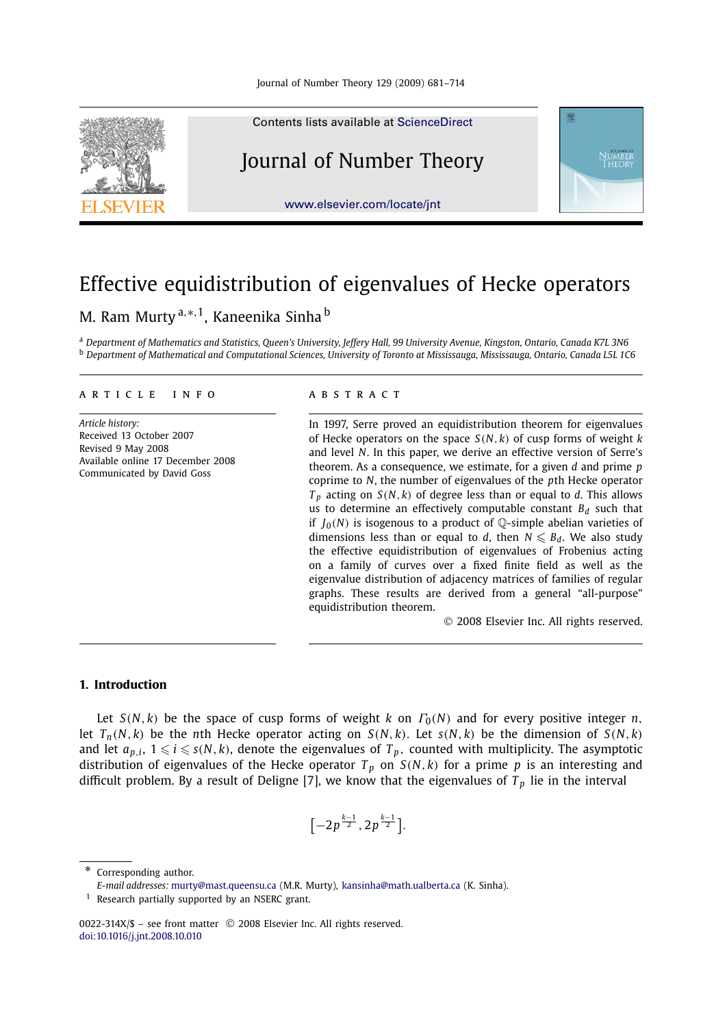

# Effective equidistribution of eigenvalues of Hecke operators

# M. Ram Murty <sup>a</sup>*,*∗*,*1, Kaneenika Sinha <sup>b</sup>

<sup>a</sup> *Department of Mathematics and Statistics, Queen's University, Jeffery Hall, 99 University Avenue, Kingston, Ontario, Canada K7L 3N6* <sup>b</sup> *Department of Mathematical and Computational Sciences, University of Toronto at Mississauga, Mississauga, Ontario, Canada L5L 1C6*

#### article info abstract

*Article history:* Received 13 October 2007 Revised 9 May 2008 Available online 17 December 2008 Communicated by David Goss

In 1997, Serre proved an equidistribution theorem for eigenvalues of Hecke operators on the space *S(N,k)* of cusp forms of weight *k* and level *N*. In this paper, we derive an effective version of Serre's theorem. As a consequence, we estimate, for a given *d* and prime *p* coprime to *N*, the number of eigenvalues of the *p*th Hecke operator  $T_p$  acting on  $S(N, k)$  of degree less than or equal to *d*. This allows us to determine an effectively computable constant  $B_d$  such that if  $J_0(N)$  is isogenous to a product of  $\mathbb{O}$ -simple abelian varieties of dimensions less than or equal to *d*, then  $N \leq B_d$ . We also study the effective equidistribution of eigenvalues of Frobenius acting on a family of curves over a fixed finite field as well as the eigenvalue distribution of adjacency matrices of families of regular graphs. These results are derived from a general "all-purpose" equidistribution theorem.

© 2008 Elsevier Inc. All rights reserved.

# **1. Introduction**

Let  $S(N, k)$  be the space of cusp forms of weight *k* on  $\Gamma_0(N)$  and for every positive integer *n*, let  $T_n(N, k)$  be the nth Hecke operator acting on  $S(N, k)$ . Let  $S(N, k)$  be the dimension of  $S(N, k)$ and let  $a_{p,i}$ ,  $1 \leqslant i \leqslant s(N,k)$ , denote the eigenvalues of  $T_p$ , counted with multiplicity. The asymptotic distribution of eigenvalues of the Hecke operator  $T_p$  on  $S(N, k)$  for a prime p is an interesting and difficult problem. By a result of Deligne [7], we know that the eigenvalues of  $T_p$  lie in the interval

$$
\left[-2p^{\frac{k-1}{2}}, 2p^{\frac{k-1}{2}}\right].
$$

Corresponding author.

0022-314X/\$ – see front matter © 2008 Elsevier Inc. All rights reserved. [doi:10.1016/j.jnt.2008.10.010](http://dx.doi.org/10.1016/j.jnt.2008.10.010)

*E-mail addresses:* [murty@mast.queensu.ca](mailto:murty@mast.queensu.ca) (M.R. Murty), [kansinha@math.ualberta.ca](mailto:kansinha@math.ualberta.ca) (K. Sinha).

 $1$  Research partially supported by an NSERC grant.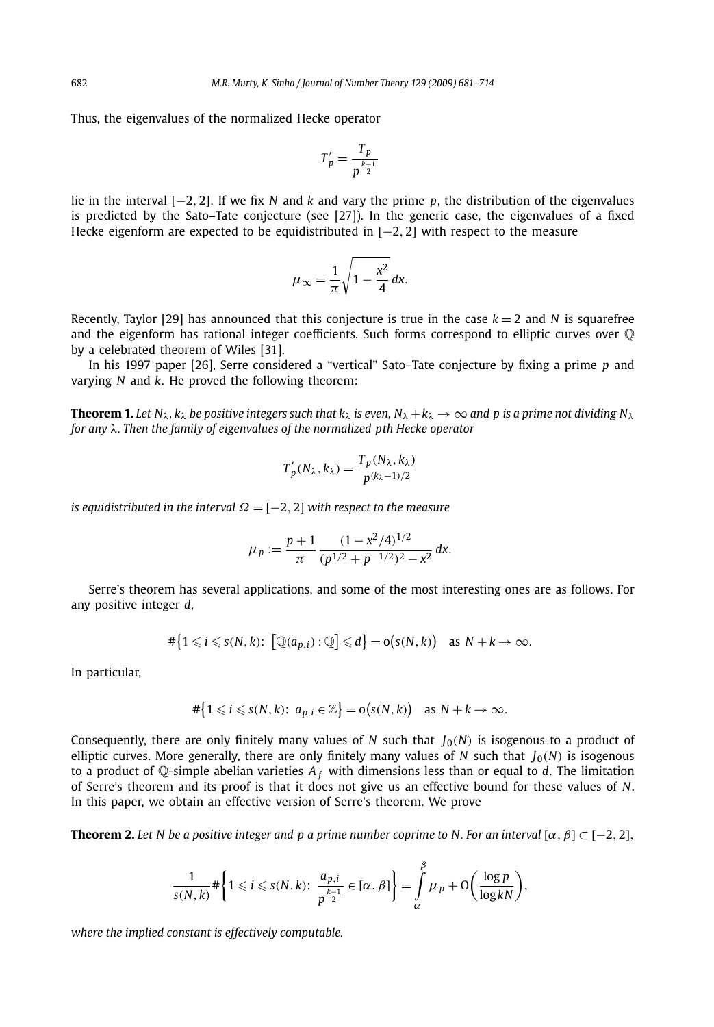Thus, the eigenvalues of the normalized Hecke operator

$$
T'_p = \frac{T_p}{p^{\frac{k-1}{2}}}
$$

lie in the interval [−2*,* 2]*.* If we fix *N* and *k* and vary the prime *p*, the distribution of the eigenvalues is predicted by the Sato–Tate conjecture (see [27]). In the generic case, the eigenvalues of a fixed Hecke eigenform are expected to be equidistributed in [−2*,* 2] with respect to the measure

$$
\mu_{\infty} = \frac{1}{\pi} \sqrt{1 - \frac{x^2}{4}} \, dx.
$$

Recently, Taylor [29] has announced that this conjecture is true in the case  $k = 2$  and N is squarefree and the eigenform has rational integer coefficients. Such forms correspond to elliptic curves over Q by a celebrated theorem of Wiles [31].

In his 1997 paper [26], Serre considered a "vertical" Sato–Tate conjecture by fixing a prime *p* and varying *N* and *k.* He proved the following theorem:

**Theorem 1.** Let  $N_\lambda$ ,  $k_\lambda$  be positive integers such that  $k_\lambda$  is even,  $N_\lambda + k_\lambda \to \infty$  and p is a prime not dividing  $N_\lambda$ *for any λ. Then the family of eigenvalues of the normalized pth Hecke operator*

$$
T'_{p}(N_{\lambda}, k_{\lambda}) = \frac{T_{p}(N_{\lambda}, k_{\lambda})}{p^{(k_{\lambda}-1)/2}}
$$

*is equidistributed in the interval*  $\Omega = [-2, 2]$  *with respect to the measure* 

$$
\mu_p := \frac{p+1}{\pi} \frac{(1-x^2/4)^{1/2}}{(p^{1/2}+p^{-1/2})^2-x^2} dx.
$$

Serre's theorem has several applications, and some of the most interesting ones are as follows. For any positive integer *d*,

$$
\#\big\{1\leqslant i\leqslant s(N,k)\colon \big[\mathbb{Q}(a_{p,i}):\mathbb{Q}\big]\leqslant d\big\}=o\big(s(N,k)\big)\quad\text{as }N+k\to\infty.
$$

In particular,

$$
\#\big\{1\leqslant i\leqslant s(N,k)\colon\ a_{p,i}\in\mathbb{Z}\big\}=\mathrm{o}\big(s(N,k)\big)\quad\text{as }N+k\to\infty.
$$

Consequently, there are only finitely many values of *N* such that  $J_0(N)$  is isogenous to a product of elliptic curves. More generally, there are only finitely many values of *N* such that  $J_0(N)$  is isogenous to a product of  $\mathbb{Q}$ -simple abelian varieties  $A_f$  with dimensions less than or equal to *d*. The limitation of Serre's theorem and its proof is that it does not give us an effective bound for these values of *N*. In this paper, we obtain an effective version of Serre's theorem. We prove

**Theorem 2.** Let N be a positive integer and p a prime number coprime to N. For an interval  $[\alpha, \beta] \subset [-2, 2]$ ,

$$
\frac{1}{s(N,k)}\#\bigg\{1\leqslant i\leqslant s(N,k)\colon \frac{a_{p,i}}{p^{\frac{k-1}{2}}}\in[\alpha,\beta]\bigg\}=\int\limits_{\alpha}^{\beta}\mu_p+\mathrm{O}\bigg(\frac{\log p}{\log kN}\bigg),
$$

*where the implied constant is effectively computable.*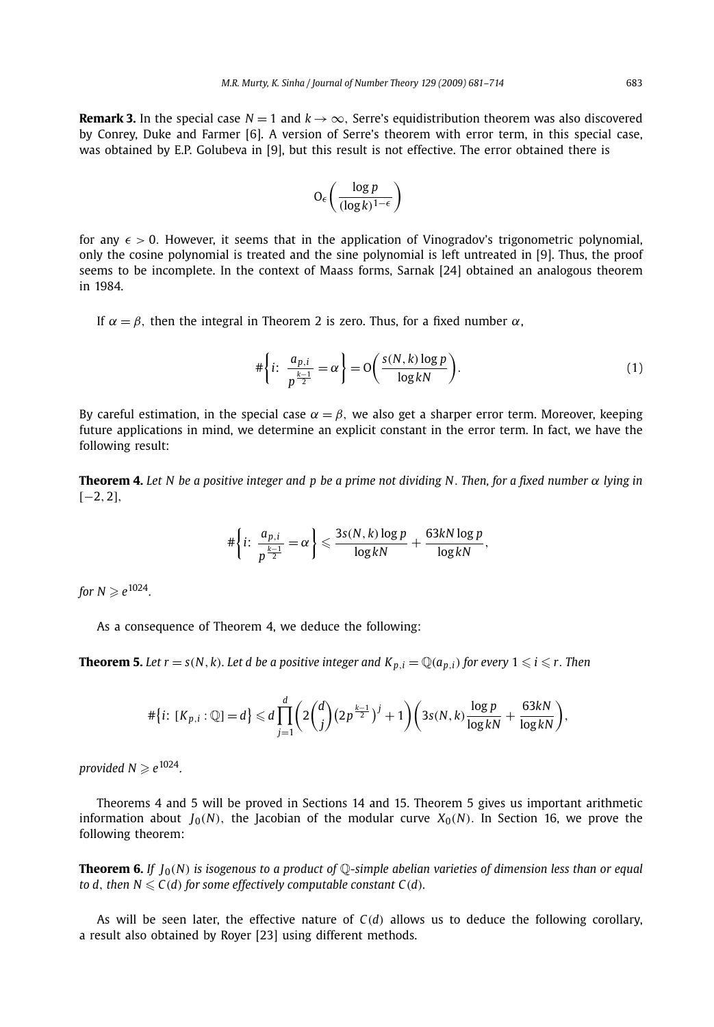**Remark 3.** In the special case  $N = 1$  and  $k \rightarrow \infty$ , Serre's equidistribution theorem was also discovered by Conrey, Duke and Farmer [6]. A version of Serre's theorem with error term, in this special case, was obtained by E.P. Golubeva in [9], but this result is not effective. The error obtained there is

$$
O_{\epsilon}\left(\frac{\log p}{(\log k)^{1-\epsilon}}\right)
$$

for any  $\epsilon > 0$ . However, it seems that in the application of Vinogradov's trigonometric polynomial, only the cosine polynomial is treated and the sine polynomial is left untreated in [9]. Thus, the proof seems to be incomplete. In the context of Maass forms, Sarnak [24] obtained an analogous theorem in 1984.

If  $\alpha = \beta$ , then the integral in Theorem 2 is zero. Thus, for a fixed number  $\alpha$ ,

$$
\#\left\{i\colon \frac{a_{p,i}}{p^{\frac{k-1}{2}}} = \alpha\right\} = O\left(\frac{s(N,k)\log p}{\log kN}\right). \tag{1}
$$

By careful estimation, in the special case  $α = β$ , we also get a sharper error term. Moreover, keeping future applications in mind, we determine an explicit constant in the error term. In fact, we have the following result:

**Theorem 4.** *Let N be a positive integer and p be a prime not dividing N. Then, for a fixed number α lying in* [−2*,* 2]*,*

$$
\#\left\{i:\ \frac{a_{p,i}}{p^{\frac{k-1}{2}}}=\alpha\right\}\leqslant\frac{3s(N,k)\log p}{\log kN}+\frac{63kN\log p}{\log kN},
$$

*for*  $N \ge e^{1024}$ .

As a consequence of Theorem 4, we deduce the following:

**Theorem 5.** Let  $r = s(N, k)$ . Let  $d$  be a positive integer and  $K_{p,i} = \mathbb Q(a_{p,i})$  for every  $1 \leqslant i \leqslant r.$  Then

$$
\#\{i\colon [K_{p,i}:\mathbb{Q}]=d\}\leq d\prod_{j=1}^d\left(2\binom{d}{j}\left(2p^{\frac{k-1}{2}}\right)^j+1\right)\left(3s(N,k)\frac{\log p}{\log kN}+\frac{63kN}{\log kN}\right),
$$

*provided*  $N \geq e^{1024}$ *.* 

Theorems 4 and 5 will be proved in Sections 14 and 15. Theorem 5 gives us important arithmetic information about  $J_0(N)$ , the Jacobian of the modular curve  $X_0(N)$ . In Section 16, we prove the following theorem:

**Theorem 6.** If  $J_0(N)$  is isogenous to a product of  $\mathbb{Q}$ -simple abelian varieties of dimension less than or equal to  $d$ , then  $N \leqslant C(d)$  for some effectively computable constant  $C(d)$ .

As will be seen later, the effective nature of  $C(d)$  allows us to deduce the following corollary, a result also obtained by Royer [23] using different methods.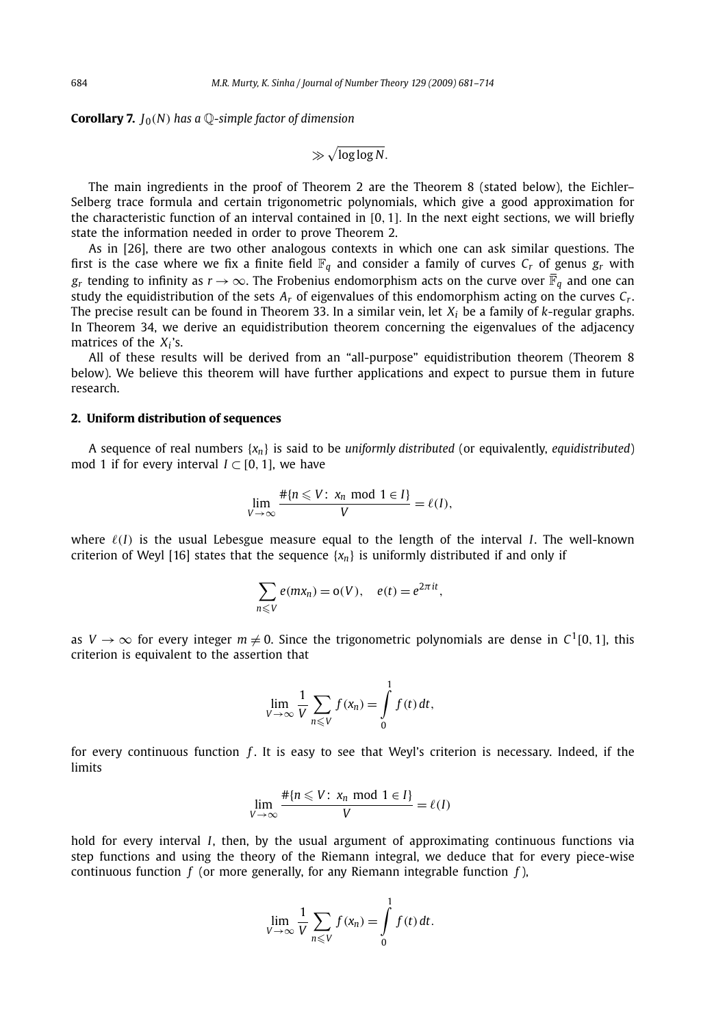**Corollary 7.**  $I_0(N)$  has a  $\mathbb{O}$ -simple factor of dimension

$$
\gg \sqrt{\log\log N}.
$$

The main ingredients in the proof of Theorem 2 are the Theorem 8 (stated below), the Eichler– Selberg trace formula and certain trigonometric polynomials, which give a good approximation for the characteristic function of an interval contained in [0*,* 1]*.* In the next eight sections, we will briefly state the information needed in order to prove Theorem 2.

As in [26], there are two other analogous contexts in which one can ask similar questions. The first is the case where we fix a finite field  $\mathbb{F}_q$  and consider a family of curves  $C_r$  of genus  $g_r$  with *g<sub>r</sub>* tending to infinity as  $r \to \infty$ . The Frobenius endomorphism acts on the curve over  $\overline{\mathbb{F}}_q$  and one can study the equidistribution of the sets  $A_r$  of eigenvalues of this endomorphism acting on the curves  $C_r$ . The precise result can be found in Theorem 33. In a similar vein, let *Xi* be a family of *k*-regular graphs. In Theorem 34, we derive an equidistribution theorem concerning the eigenvalues of the adjacency matrices of the *Xi*'s.

All of these results will be derived from an "all-purpose" equidistribution theorem (Theorem 8 below). We believe this theorem will have further applications and expect to pursue them in future research.

# **2. Uniform distribution of sequences**

A sequence of real numbers {*xn*} is said to be *uniformly distributed* (or equivalently, *equidistributed*) mod 1 if for every interval  $I \subset [0, 1]$ , we have

$$
\lim_{V \to \infty} \frac{\#\{n \leqslant V: x_n \text{ mod } 1 \in I\}}{V} = \ell(I),
$$

where  $\ell(I)$  is the usual Lebesgue measure equal to the length of the interval *I*. The well-known criterion of Weyl [16] states that the sequence  $\{x_n\}$  is uniformly distributed if and only if

$$
\sum_{n\leq V}e(mx_n)=o(V),\quad e(t)=e^{2\pi it},
$$

as *V*  $\rightarrow \infty$  for every integer  $m \neq 0$ . Since the trigonometric polynomials are dense in *C*<sup>1</sup>[0, 1], this criterion is equivalent to the assertion that

$$
\lim_{V \to \infty} \frac{1}{V} \sum_{n \leq V} f(x_n) = \int_{0}^{1} f(t) dt,
$$

for every continuous function *f* . It is easy to see that Weyl's criterion is necessary. Indeed, if the limits

$$
\lim_{V \to \infty} \frac{\# \{ n \leqslant V \colon x_n \text{ mod } 1 \in I \}}{V} = \ell(I)
$$

hold for every interval *I*, then, by the usual argument of approximating continuous functions via step functions and using the theory of the Riemann integral, we deduce that for every piece-wise continuous function  $f$  (or more generally, for any Riemann integrable function  $f$ ),

$$
\lim_{V \to \infty} \frac{1}{V} \sum_{n \leq V} f(x_n) = \int_{0}^{1} f(t) dt.
$$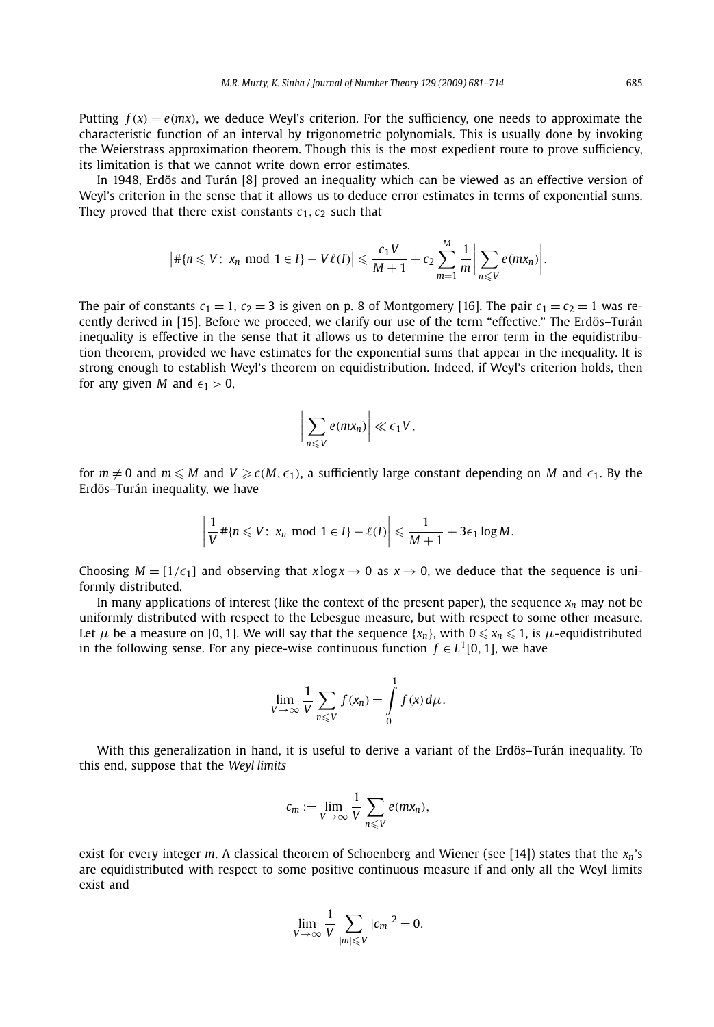Putting  $f(x) = e(mx)$ , we deduce Weyl's criterion. For the sufficiency, one needs to approximate the characteristic function of an interval by trigonometric polynomials. This is usually done by invoking the Weierstrass approximation theorem. Though this is the most expedient route to prove sufficiency, its limitation is that we cannot write down error estimates.

In 1948, Erdös and Turán [8] proved an inequality which can be viewed as an effective version of Weyl's criterion in the sense that it allows us to deduce error estimates in terms of exponential sums. They proved that there exist constants  $c_1$ ,  $c_2$  such that

$$
\big| \# \{ n \leqslant V \colon x_n \text{ mod } 1 \in I \} - V\ell(I) \big| \leqslant \frac{c_1 V}{M+1} + c_2 \sum_{m=1}^{M} \frac{1}{m} \bigg| \sum_{n \leqslant V} e(mx_n) \bigg|.
$$

The pair of constants  $c_1 = 1$ ,  $c_2 = 3$  is given on p. 8 of Montgomery [16]. The pair  $c_1 = c_2 = 1$  was recently derived in [15]. Before we proceed, we clarify our use of the term "effective." The Erdös–Turán inequality is effective in the sense that it allows us to determine the error term in the equidistribution theorem, provided we have estimates for the exponential sums that appear in the inequality. It is strong enough to establish Weyl's theorem on equidistribution. Indeed, if Weyl's criterion holds, then for any given *M* and  $\epsilon_1 > 0$ ,

$$
\bigg|\sum_{n\leq V}e(mx_n)\bigg|\ll \epsilon_1V,
$$

for  $m \neq 0$  and  $m \leq M$  and  $V \geq c(M, \epsilon_1)$ , a sufficiently large constant depending on M and  $\epsilon_1$ . By the Erdös–Turán inequality, we have

$$
\left|\frac{1}{V}\# \{n \leqslant V: x_n \text{ mod } 1 \in I\} - \ell(I)\right| \leqslant \frac{1}{M+1} + 3\epsilon_1 \log M.
$$

Choosing  $M = [1/\epsilon_1]$  and observing that  $x \log x \to 0$  as  $x \to 0$ , we deduce that the sequence is uniformly distributed.

In many applications of interest (like the context of the present paper), the sequence  $x_n$  may not be uniformly distributed with respect to the Lebesgue measure, but with respect to some other measure. Let  $\mu$  be a measure on [0, 1]. We will say that the sequence { $x_n$ }, with  $0 \leqslant x_n \leqslant 1$ , is  $\mu$ -equidistributed in the following sense. For any piece-wise continuous function  $f \in L^1[0, 1]$ , we have

$$
\lim_{V \to \infty} \frac{1}{V} \sum_{n \leq V} f(x_n) = \int_{0}^{1} f(x) d\mu.
$$

With this generalization in hand, it is useful to derive a variant of the Erdös–Turán inequality. To this end, suppose that the *Weyl limits*

$$
c_m := \lim_{V \to \infty} \frac{1}{V} \sum_{n \leq V} e(mx_n),
$$

exist for every integer *m*. A classical theorem of Schoenberg and Wiener (see [14]) states that the *xn*'s are equidistributed with respect to some positive continuous measure if and only all the Weyl limits exist and

$$
\lim_{V\to\infty}\frac{1}{V}\sum_{|m|\leqslant V}|c_m|^2=0.
$$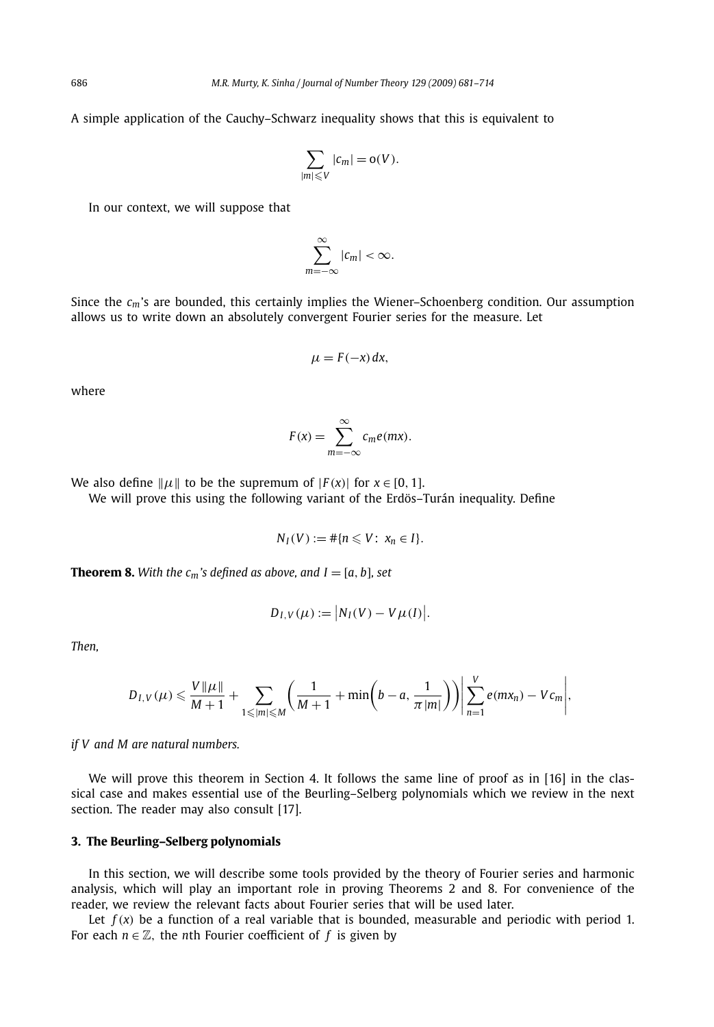A simple application of the Cauchy–Schwarz inequality shows that this is equivalent to

$$
\sum_{|m|\leqslant V}|c_m|=o(V).
$$

In our context, we will suppose that

$$
\sum_{m=-\infty}^{\infty} |c_m| < \infty.
$$

Since the *cm*'s are bounded, this certainly implies the Wiener–Schoenberg condition. Our assumption allows us to write down an absolutely convergent Fourier series for the measure. Let

$$
\mu = F(-x) \, dx,
$$

where

$$
F(x) = \sum_{m=-\infty}^{\infty} c_m e(mx).
$$

We also define  $||\mu||$  to be the supremum of  $|F(x)|$  for  $x \in [0, 1]$ .

We will prove this using the following variant of the Erdös–Turán inequality. Define

$$
N_I(V):=\#\{n\leqslant V\colon\, x_n\in I\}.
$$

**Theorem 8.** With the  $c_m$ 's defined as above, and  $I = [a, b]$ , set

$$
D_{I,V}(\mu) := |N_I(V) - V\mu(I)|.
$$

*Then,*

$$
D_{I,V}(\mu) \leq \frac{V \|\mu\|}{M+1} + \sum_{1 \leq |m| \leq M} \left( \frac{1}{M+1} + \min\left(b-a, \frac{1}{\pi |m|}\right) \right) \left| \sum_{n=1}^{V} e(mx_n) - Vc_m \right|,
$$

*if V and M are natural numbers.*

We will prove this theorem in Section 4. It follows the same line of proof as in [16] in the classical case and makes essential use of the Beurling–Selberg polynomials which we review in the next section. The reader may also consult [17].

#### **3. The Beurling–Selberg polynomials**

In this section, we will describe some tools provided by the theory of Fourier series and harmonic analysis, which will play an important role in proving Theorems 2 and 8. For convenience of the reader, we review the relevant facts about Fourier series that will be used later.

Let  $f(x)$  be a function of a real variable that is bounded, measurable and periodic with period 1. For each  $n \in \mathbb{Z}$ , the *n*th Fourier coefficient of *f* is given by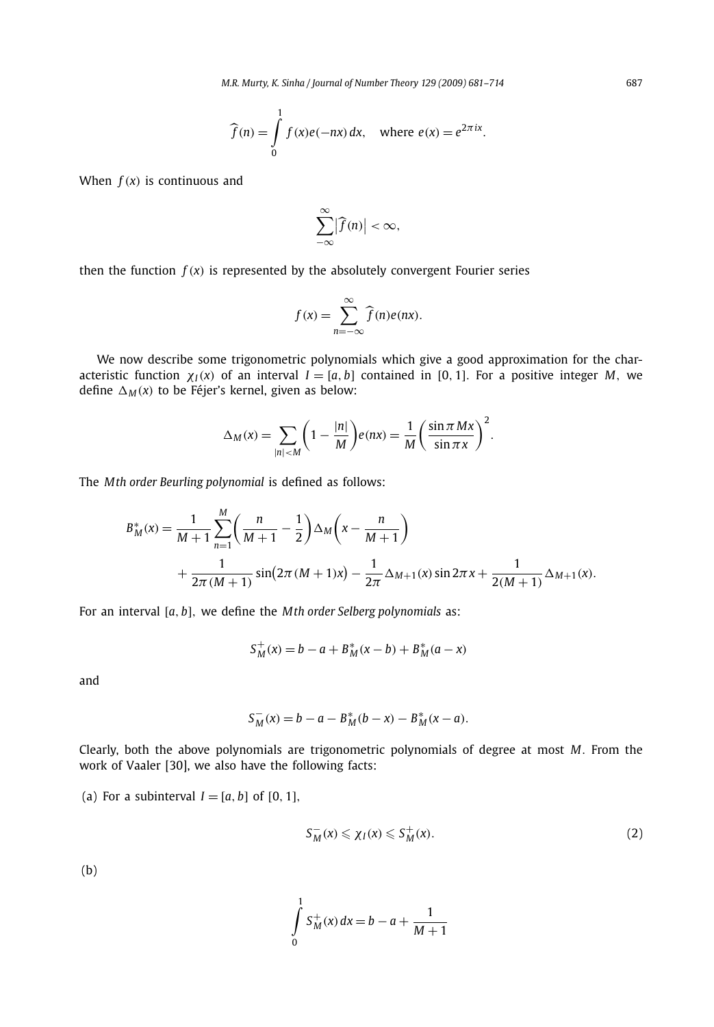$$
\widehat{f}(n) = \int_{0}^{1} f(x)e(-nx) dx, \text{ where } e(x) = e^{2\pi ix}.
$$

When  $f(x)$  is continuous and

$$
\sum_{-\infty}^{\infty} \left| \widehat{f}(n) \right| < \infty,
$$

then the function  $f(x)$  is represented by the absolutely convergent Fourier series

$$
f(x) = \sum_{n=-\infty}^{\infty} \widehat{f}(n)e(nx).
$$

We now describe some trigonometric polynomials which give a good approximation for the characteristic function  $\chi$ <sup>*I*</sup>( $x$ ) of an interval  $I = [a, b]$  contained in [0, 1]. For a positive integer *M,* we define  $\Delta_M(x)$  to be Féjer's kernel, given as below:

$$
\Delta_M(x) = \sum_{|n| < M} \left(1 - \frac{|n|}{M}\right) e(nx) = \frac{1}{M} \left(\frac{\sin \pi M x}{\sin \pi x}\right)^2.
$$

The *Mth order Beurling polynomial* is defined as follows:

$$
B_M^*(x) = \frac{1}{M+1} \sum_{n=1}^{M} \left( \frac{n}{M+1} - \frac{1}{2} \right) \Delta_M \left( x - \frac{n}{M+1} \right)
$$
  
+ 
$$
\frac{1}{2\pi (M+1)} \sin(2\pi (M+1)x) - \frac{1}{2\pi} \Delta_{M+1}(x) \sin 2\pi x + \frac{1}{2(M+1)} \Delta_{M+1}(x).
$$

For an interval [*a, b*]*,* we define the *Mth order Selberg polynomials* as:

$$
S_M^+(x) = b - a + B_M^*(x - b) + B_M^*(a - x)
$$

and

$$
S_M^-(x) = b - a - B_M^*(b - x) - B_M^*(x - a).
$$

Clearly, both the above polynomials are trigonometric polynomials of degree at most *M.* From the work of Vaaler [30], we also have the following facts:

(a) For a subinterval  $I = [a, b]$  of  $[0, 1]$ ,

$$
S_M^-(x) \leq \chi_I(x) \leq S_M^+(x). \tag{2}
$$

(b)

$$
\int_{0}^{1} S_{M}^{+}(x) dx = b - a + \frac{1}{M+1}
$$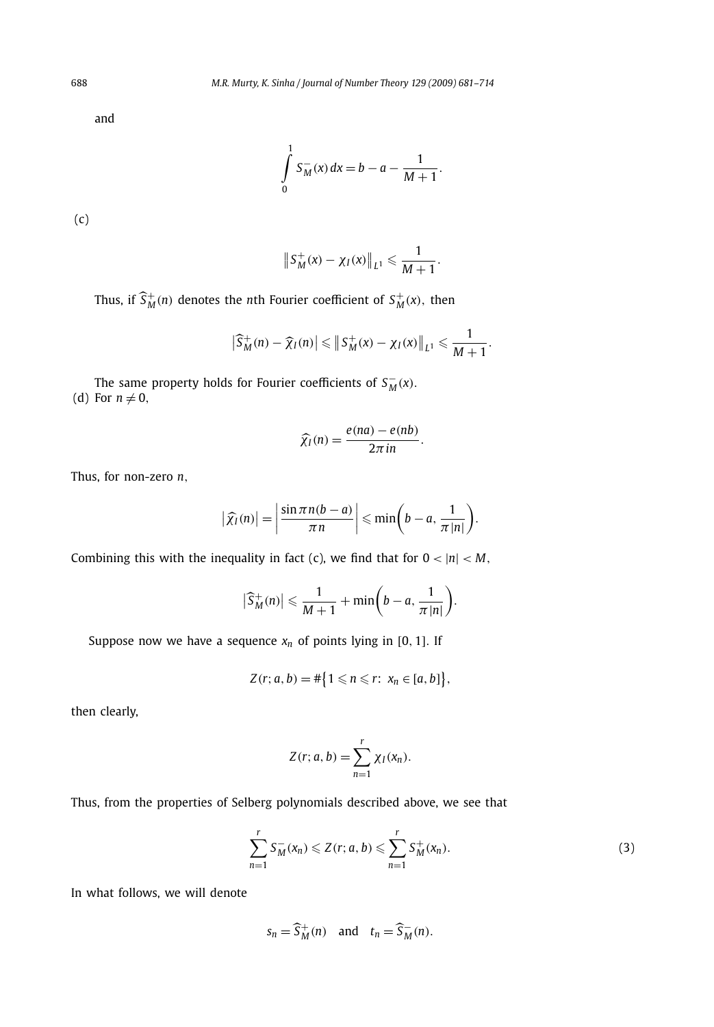and

$$
\int_{0}^{1} S_{M}^{-}(x) dx = b - a - \frac{1}{M+1}
$$

*.*

(c)

$$
\|S_M^+(x) - \chi_I(x)\|_{L^1} \leq \frac{1}{M+1}.
$$

Thus, if  $\widehat{S}_{M}^{+}(n)$  denotes the *n*th Fourier coefficient of  $S_{M}^{+}(x)$ , then

$$
\left|\widehat{S}_M^+(n)-\widehat{\chi}_I(n)\right|\leqslant \left\|S_M^+(x)-\chi_I(x)\right\|_{L^1}\leqslant \frac{1}{M+1}.
$$

The same property holds for Fourier coefficients of  $S_M^-(x)$ . (d) For  $n \neq 0$ ,

$$
\widehat{\chi}_I(n) = \frac{e(na) - e(nb)}{2\pi in}.
$$

Thus, for non-zero *n,*

$$
\left|\widehat{\chi_1}(n)\right| = \left|\frac{\sin \pi n(b-a)}{\pi n}\right| \leqslant \min\left(b-a, \frac{1}{\pi |n|}\right).
$$

Combining this with the inequality in fact (c), we find that for  $0 < |n| < M$ ,

$$
\left|\widehat{S}_{M}^{+}(n)\right|\leqslant\frac{1}{M+1}+\min\biggl(b-a,\frac{1}{\pi\left|n\right|}\biggr).
$$

Suppose now we have a sequence  $x_n$  of points lying in [0, 1]. If

$$
Z(r;a,b)=\#\big\{1\leqslant n\leqslant r\colon\ x_n\in[a,b]\big\},\
$$

then clearly,

$$
Z(r; a, b) = \sum_{n=1}^{r} \chi_I(x_n).
$$

Thus, from the properties of Selberg polynomials described above, we see that

$$
\sum_{n=1}^{r} S_{M}^{-}(x_{n}) \leqslant Z(r; a, b) \leqslant \sum_{n=1}^{r} S_{M}^{+}(x_{n}).
$$
\n(3)

In what follows, we will denote

$$
s_n = \widehat{S}_M^+(n) \quad \text{and} \quad t_n = \widehat{S}_M^-(n).
$$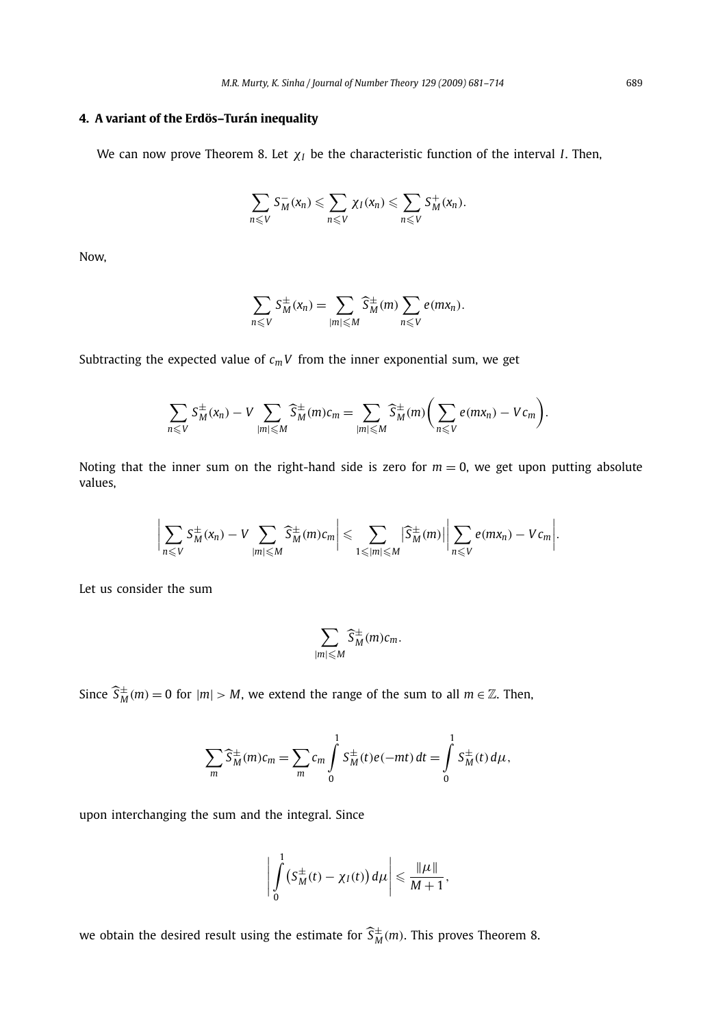# **4. A variant of the Erdös–Turán inequality**

We can now prove Theorem 8. Let *χ<sup>I</sup>* be the characteristic function of the interval *I*. Then,

$$
\sum_{n\leq V} S_M^-(x_n) \leq \sum_{n\leq V} \chi_I(x_n) \leq \sum_{n\leq V} S_M^+(x_n).
$$

Now,

$$
\sum_{n\leq V} S_M^{\pm}(x_n) = \sum_{|m|\leq M} \widehat{S}_M^{\pm}(m) \sum_{n\leq V} e(mx_n).
$$

Subtracting the expected value of  $c_m V$  from the inner exponential sum, we get

$$
\sum_{n\leq V} S_M^{\pm}(x_n)-V\sum_{|m|\leq M} \widehat{S}_M^{\pm}(m)c_m=\sum_{|m|\leq M} \widehat{S}_M^{\pm}(m)\bigg(\sum_{n\leq V} e(mx_n)-Vc_m\bigg).
$$

Noting that the inner sum on the right-hand side is zero for  $m = 0$ , we get upon putting absolute values,

$$
\bigg|\sum_{n\leq V}S^{\pm}_M(x_n)-V\sum_{|m|\leq M}\widehat{S}^{\pm}_M(m)c_m\bigg|\leqslant \sum_{1\leqslant |m|\leqslant M}|\widehat{S}^{\pm}_M(m)|\bigg|\sum_{n\leqslant V}e(mx_n)-Vc_m\bigg|.
$$

Let us consider the sum

$$
\sum_{|m|\leqslant M} \widehat{S}_M^{\pm}(m)c_m.
$$

Since  $\widehat{S}_M^{\pm}(m) = 0$  for  $|m| > M$ , we extend the range of the sum to all  $m \in \mathbb{Z}$ . Then,

$$
\sum_{m} \widehat{S}_{M}^{\pm}(m)c_{m} = \sum_{m} c_{m} \int_{0}^{1} S_{M}^{\pm}(t) e(-mt) dt = \int_{0}^{1} S_{M}^{\pm}(t) d\mu,
$$

upon interchanging the sum and the integral. Since

$$
\left|\int_{0}^{1} \left(S_{M}^{\pm}(t) - \chi_{I}(t)\right) d\mu\right| \leq \frac{\|\mu\|}{M+1},
$$

we obtain the desired result using the estimate for  $\widehat{S}^{\pm}_{M}(m)$ . This proves Theorem 8.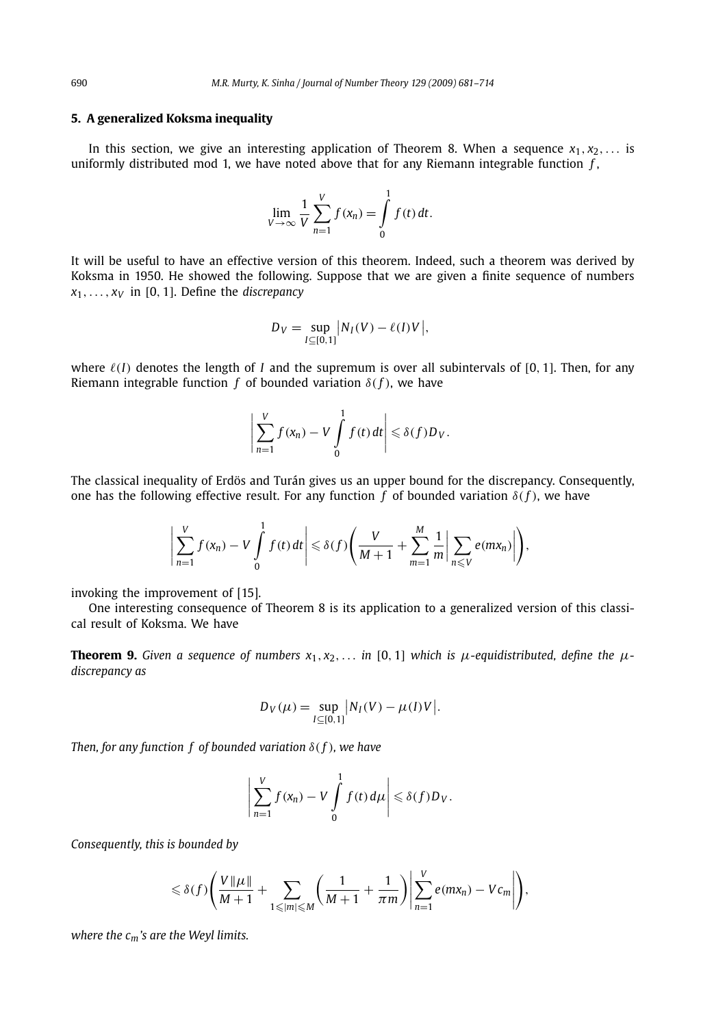# **5. A generalized Koksma inequality**

In this section, we give an interesting application of Theorem 8. When a sequence  $x_1, x_2, \ldots$  is uniformly distributed mod 1, we have noted above that for any Riemann integrable function *f* ,

$$
\lim_{V \to \infty} \frac{1}{V} \sum_{n=1}^{V} f(x_n) = \int_{0}^{1} f(t) dt.
$$

It will be useful to have an effective version of this theorem. Indeed, such a theorem was derived by Koksma in 1950. He showed the following. Suppose that we are given a finite sequence of numbers  $x_1, \ldots, x_V$  in [0, 1]. Define the *discrepancy* 

$$
D_V = \sup_{I \subseteq [0,1]} |N_I(V) - \ell(I)V|,
$$

where  $\ell(I)$  denotes the length of *I* and the supremum is over all subintervals of [0, 1]. Then, for any Riemann integrable function  $f$  of bounded variation  $\delta(f)$ , we have

$$
\left|\sum_{n=1}^V f(x_n) - V \int_0^1 f(t) dt \right| \leq \delta(f) D_V.
$$

The classical inequality of Erdös and Turán gives us an upper bound for the discrepancy. Consequently, one has the following effective result. For any function *f* of bounded variation  $\delta(f)$ , we have

$$
\left|\sum_{n=1}^V f(x_n) - V \int_0^1 f(t) dt \right| \leq \delta(f) \left( \frac{V}{M+1} + \sum_{m=1}^M \frac{1}{m} \Big| \sum_{n \leq V} e(mx_n) \Big| \right),
$$

invoking the improvement of [15].

One interesting consequence of Theorem 8 is its application to a generalized version of this classical result of Koksma. We have

**Theorem 9.** Given a sequence of numbers  $x_1, x_2, \ldots$  in [0, 1] which is  $\mu$ -equidistributed, define the  $\mu$ *discrepancy as*

$$
D_V(\mu) = \sup_{I \subseteq [0,1]} \left| N_I(V) - \mu(I)V \right|.
$$

*Then, for any function f of bounded variation δ(f ), we have*

$$
\left|\sum_{n=1}^V f(x_n) - V \int_0^1 f(t) \, d\mu \right| \leq \delta(f) D_V.
$$

*Consequently, this is bounded by*

$$
\leq \delta(f) \left( \frac{V \|\mu\|}{M+1} + \sum_{1 \leqslant |m| \leqslant M} \left( \frac{1}{M+1} + \frac{1}{\pi m} \right) \middle| \sum_{n=1}^{V} e(mx_n) - Vc_m \right| \right),
$$

*where the cm's are the Weyl limits.*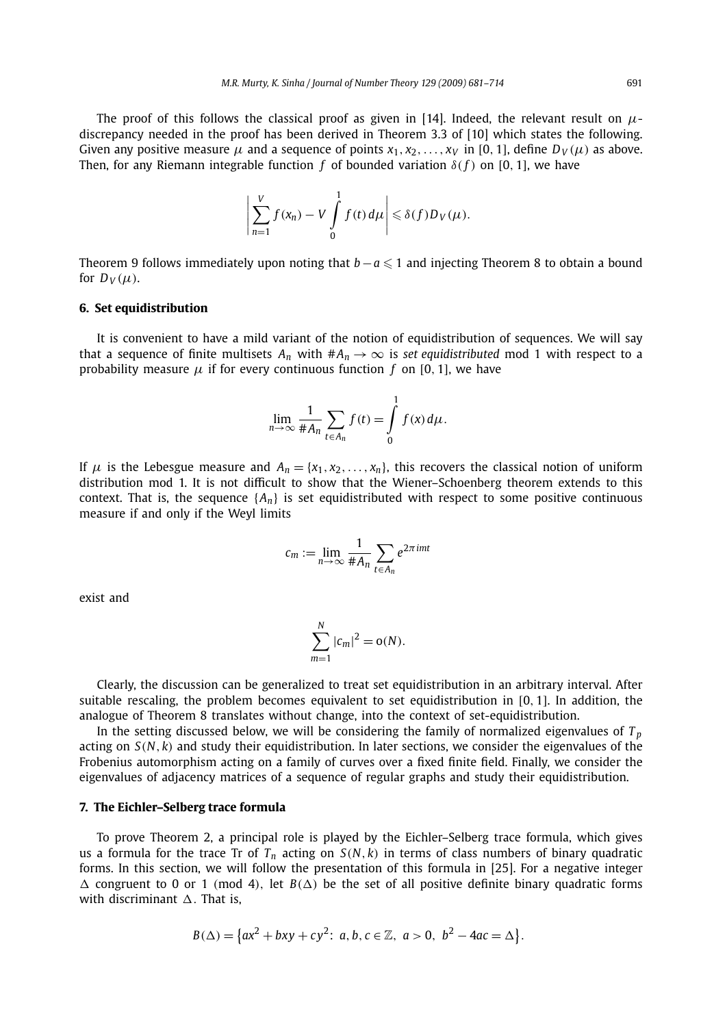The proof of this follows the classical proof as given in [14]. Indeed, the relevant result on *μ*discrepancy needed in the proof has been derived in Theorem 3.3 of [10] which states the following. Given any positive measure  $\mu$  and a sequence of points  $x_1, x_2, \ldots, x_V$  in [0, 1], define  $D_V(\mu)$  as above. Then, for any Riemann integrable function *f* of bounded variation  $\delta(f)$  on [0, 1], we have

$$
\left|\sum_{n=1}^V f(x_n) - V \int_0^1 f(t) \, d\mu \right| \leq \delta(f) D_V(\mu).
$$

Theorem 9 follows immediately upon noting that  $b-a \leqslant 1$  and injecting Theorem 8 to obtain a bound for  $D_V(\mu)$ .

# **6. Set equidistribution**

It is convenient to have a mild variant of the notion of equidistribution of sequences. We will say that a sequence of finite multisets  $A_n$  with  $#A_n \to \infty$  is *set equidistributed* mod 1 with respect to a probability measure  $\mu$  if for every continuous function  $f$  on [0, 1], we have

$$
\lim_{n\to\infty}\frac{1}{\#A_n}\sum_{t\in A_n}f(t)=\int_0^1f(x)\,d\mu.
$$

If  $\mu$  is the Lebesgue measure and  $A_n = \{x_1, x_2, \ldots, x_n\}$ , this recovers the classical notion of uniform distribution mod 1. It is not difficult to show that the Wiener–Schoenberg theorem extends to this context. That is, the sequence  $\{A_n\}$  is set equidistributed with respect to some positive continuous measure if and only if the Weyl limits

$$
c_m := \lim_{n \to \infty} \frac{1}{\#A_n} \sum_{t \in A_n} e^{2\pi i m t}
$$

exist and

$$
\sum_{m=1}^{N} |c_m|^2 = o(N).
$$

Clearly, the discussion can be generalized to treat set equidistribution in an arbitrary interval. After suitable rescaling, the problem becomes equivalent to set equidistribution in [0*,* 1]. In addition, the analogue of Theorem 8 translates without change, into the context of set-equidistribution.

In the setting discussed below, we will be considering the family of normalized eigenvalues of  $T_p$ acting on *S(N,k)* and study their equidistribution. In later sections, we consider the eigenvalues of the Frobenius automorphism acting on a family of curves over a fixed finite field. Finally, we consider the eigenvalues of adjacency matrices of a sequence of regular graphs and study their equidistribution.

# **7. The Eichler–Selberg trace formula**

To prove Theorem 2, a principal role is played by the Eichler–Selberg trace formula, which gives us a formula for the trace Tr of  $T_n$  acting on  $S(N, k)$  in terms of class numbers of binary quadratic forms. In this section, we will follow the presentation of this formula in [25]. For a negative integer  $\Delta$  congruent to 0 or 1 *(mod 4), let*  $B(\Delta)$  *be the set of all positive definite binary quadratic forms* with discriminant  $\Delta$ . That is,

$$
B(\Delta) = \{ax^2 + bxy + cy^2 : a, b, c \in \mathbb{Z}, a > 0, b^2 - 4ac = \Delta\}.
$$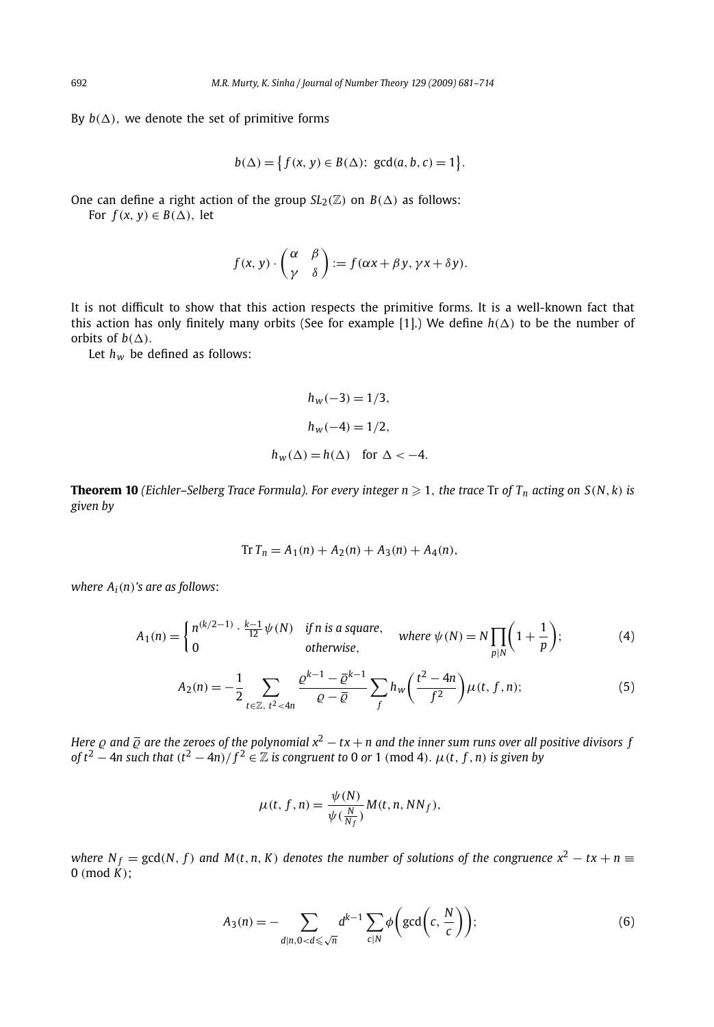By  $b(\Delta)$ , we denote the set of primitive forms

$$
b(\Delta) = \{ f(x, y) \in B(\Delta): \gcd(a, b, c) = 1 \}.
$$

One can define a right action of the group  $SL_2(\mathbb{Z})$  on  $B(\Delta)$  as follows:

For  $f(x, y) \in B(\Delta)$ , let

$$
f(x, y) \cdot \begin{pmatrix} \alpha & \beta \\ \gamma & \delta \end{pmatrix} := f(\alpha x + \beta y, \gamma x + \delta y).
$$

It is not difficult to show that this action respects the primitive forms. It is a well-known fact that this action has only finitely many orbits (See for example [1].) We define  $h(\Delta)$  to be the number of orbits of  $b(\Delta)$ .

Let  $h_w$  be defined as follows:

$$
h_w(-3) = 1/3,
$$
  
\n
$$
h_w(-4) = 1/2,
$$
  
\n
$$
h_w(\Delta) = h(\Delta) \text{ for } \Delta < -4.
$$

**Theorem 10** *(Eichler–Selberg Trace Formula). For every integer*  $n \ge 1$ *, the trace Tr of*  $T_n$  *acting on*  $S(N, k)$  *is given by*

$$
\text{Tr } T_n = A_1(n) + A_2(n) + A_3(n) + A_4(n),
$$

*where Ai(n)'s are as follows*:

$$
A_1(n) = \begin{cases} n^{(k/2-1)} \cdot \frac{k-1}{12} \psi(N) & \text{if } n \text{ is a square,} \\ 0 & \text{otherwise,} \end{cases} \quad \text{where } \psi(N) = N \prod_{p|N} \left( 1 + \frac{1}{p} \right); \tag{4}
$$

$$
A_2(n) = -\frac{1}{2} \sum_{t \in \mathbb{Z}, t^2 < 4n} \frac{\varrho^{k-1} - \overline{\varrho}^{k-1}}{\varrho - \overline{\varrho}} \sum_f h_w \left( \frac{t^2 - 4n}{f^2} \right) \mu(t, f, n); \tag{5}
$$

*Here*  $\varrho$  and  $\bar{\varrho}$  are the zeroes of the polynomial  $x^2 - tx + n$  and the inner sum runs over all positive divisors f of  $t^2 - 4n$  such that  $(t^2 - 4n)/f^2 \in \mathbb{Z}$  is congruent to 0 or 1 (mod 4).  $\mu(t, f, n)$  is given by

$$
\mu(t, f, n) = \frac{\psi(N)}{\psi(\frac{N}{N_f})} M(t, n, NN_f),
$$

where  $N_f = \text{gcd}(N, f)$  and  $M(t, n, K)$  denotes the number of solutions of the congruence  $x^2 - tx + n \equiv$ 0 *(*mod *K)*;

$$
A_3(n) = -\sum_{d|n, 0 < d \leqslant \sqrt{n}} d^{k-1} \sum_{c|N} \phi\bigg(\gcd\bigg(c, \frac{N}{c}\bigg)\bigg); \tag{6}
$$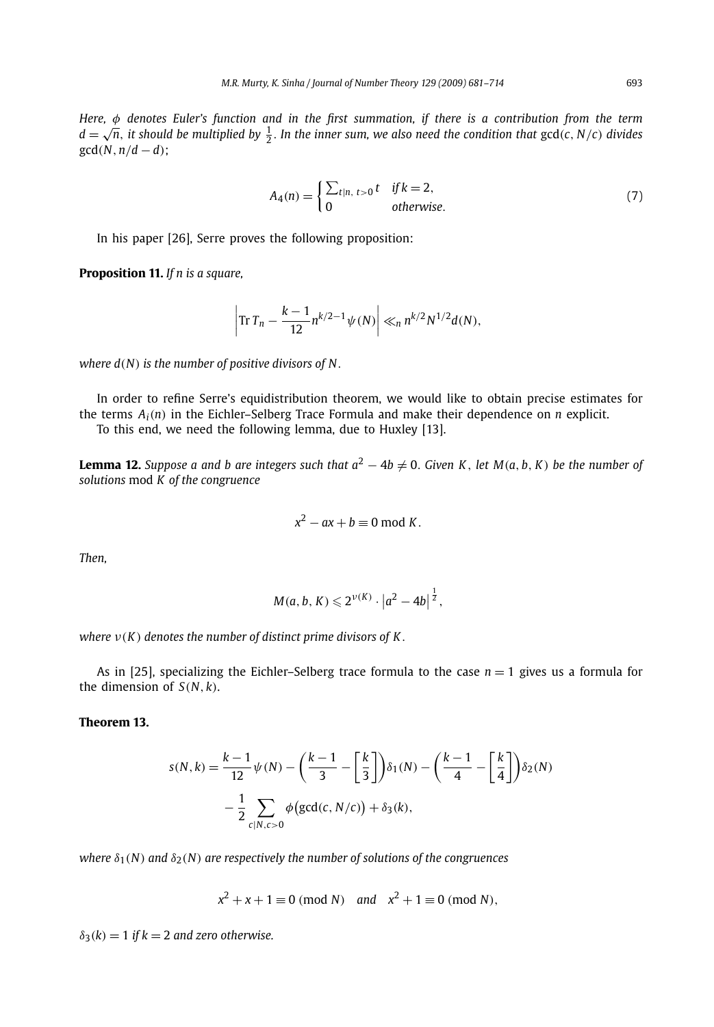*Here, φ denotes Euler's function and in the first summation, if there is a contribution from the term d* =  $\sqrt{n}$ , it should be multiplied by  $\frac{1}{2}$ . In the inner sum, we also need the condition that  $gcd(c, N/c)$  divides  $gcd(N, n/d - d)$ ;

$$
A_4(n) = \begin{cases} \sum_{t|n, t>0} t & \text{if } k=2, \\ 0 & \text{otherwise.} \end{cases}
$$
 (7)

In his paper [26], Serre proves the following proposition:

**Proposition 11.** *If n is a square,*

$$
\left|\operatorname{Tr} T_n - \frac{k-1}{12} n^{k/2-1} \psi(N)\right| \ll_n n^{k/2} N^{1/2} d(N),
$$

*where d(N) is the number of positive divisors of N.*

In order to refine Serre's equidistribution theorem, we would like to obtain precise estimates for the terms  $A_i(n)$  in the Eichler–Selberg Trace Formula and make their dependence on *n* explicit.

To this end, we need the following lemma, due to Huxley [13].

**Lemma 12.** Suppose a and b are integers such that  $a^2 - 4b \neq 0$ . Given *K*, let *M*(*a*, *b*, *K*) be the number of *solutions* mod *K of the congruence*

$$
x^2 - ax + b \equiv 0 \bmod K.
$$

*Then,*

$$
M(a, b, K) \leq 2^{\nu(K)} \cdot |a^2 - 4b|^{\frac{1}{2}},
$$

*where ν(K) denotes the number of distinct prime divisors of K.*

As in [25], specializing the Eichler–Selberg trace formula to the case  $n = 1$  gives us a formula for the dimension of *S(N,k)*.

# **Theorem 13.**

$$
s(N,k) = \frac{k-1}{12}\psi(N) - \left(\frac{k-1}{3} - \left[\frac{k}{3}\right]\right)\delta_1(N) - \left(\frac{k-1}{4} - \left[\frac{k}{4}\right]\right)\delta_2(N)
$$

$$
-\frac{1}{2}\sum_{\substack{c|N,c>0}}\phi\big(\gcd(c, N/c)\big) + \delta_3(k),
$$

*where δ*1*(N) and δ*2*(N) are respectively the number of solutions of the congruences*

 $x^{2} + x + 1 \equiv 0 \pmod{N}$  *and*  $x^{2} + 1 \equiv 0 \pmod{N}$ .

 $\delta_3(k) = 1$  *if*  $k = 2$  *and zero otherwise.*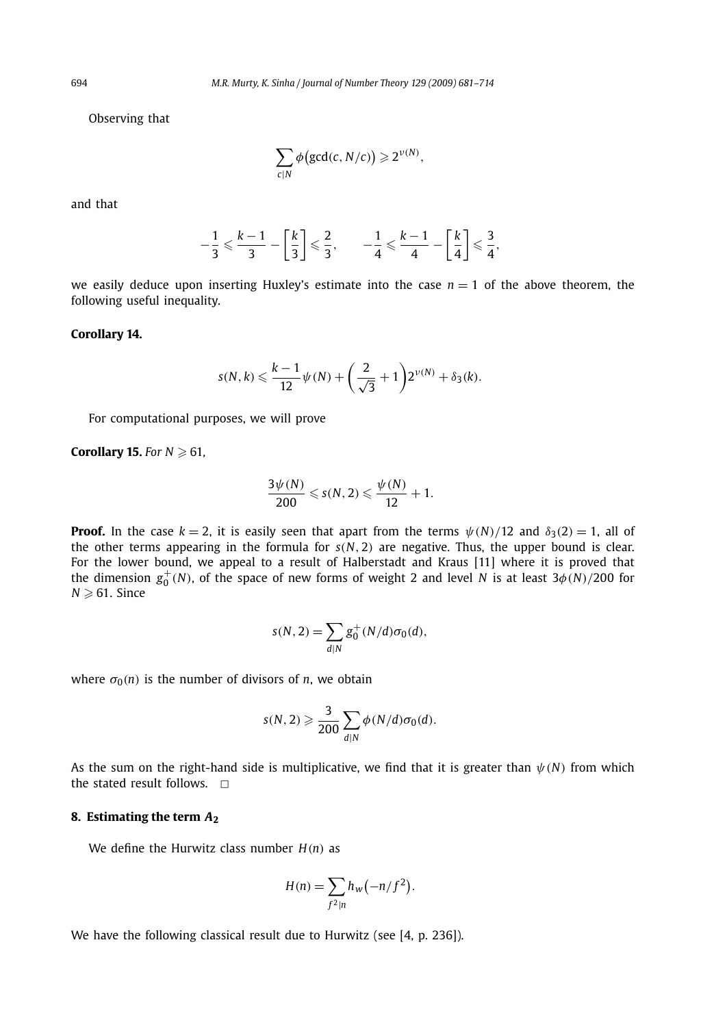Observing that

$$
\sum_{c|N}\phi\big(\text{gcd}(c,N/c)\big)\geqslant 2^{\nu(N)},
$$

and that

$$
-\frac{1}{3} \leqslant \frac{k-1}{3} - \left[ \frac{k}{3} \right] \leqslant \frac{2}{3}, \qquad -\frac{1}{4} \leqslant \frac{k-1}{4} - \left[ \frac{k}{4} \right] \leqslant \frac{3}{4},
$$

we easily deduce upon inserting Huxley's estimate into the case  $n = 1$  of the above theorem, the following useful inequality.

## **Corollary 14.**

$$
s(N,k) \leq \frac{k-1}{12} \psi(N) + \left(\frac{2}{\sqrt{3}} + 1\right) 2^{\nu(N)} + \delta_3(k).
$$

For computational purposes, we will prove

**Corollary 15.** *For*  $N \ge 61$ *,* 

$$
\frac{3\psi(N)}{200} \leqslant s(N, 2) \leqslant \frac{\psi(N)}{12} + 1.
$$

**Proof.** In the case  $k = 2$ , it is easily seen that apart from the terms  $\psi(N)/12$  and  $\delta_3(2) = 1$ , all of the other terms appearing in the formula for  $s(N, 2)$  are negative. Thus, the upper bound is clear. For the lower bound, we appeal to a result of Halberstadt and Kraus [11] where it is proved that the dimension  $g_0^+(N)$ , of the space of new forms of weight 2 and level *N* is at least  $3\phi(N)/200$  for  $N \geqslant 61$ . Since

$$
s(N,2) = \sum_{d|N} g_0^+(N/d)\sigma_0(d),
$$

where  $\sigma_0(n)$  is the number of divisors of *n*, we obtain

$$
s(N, 2) \geq \frac{3}{200} \sum_{d|N} \phi(N/d) \sigma_0(d).
$$

As the sum on the right-hand side is multiplicative, we find that it is greater than  $\psi(N)$  from which the stated result follows.  $\Box$ 

## **8. Estimating the term** *A***<sup>2</sup>**

We define the Hurwitz class number *H(n)* as

$$
H(n) = \sum_{f^2|n} h_w(-n/f^2).
$$

We have the following classical result due to Hurwitz (see [4, p. 236]).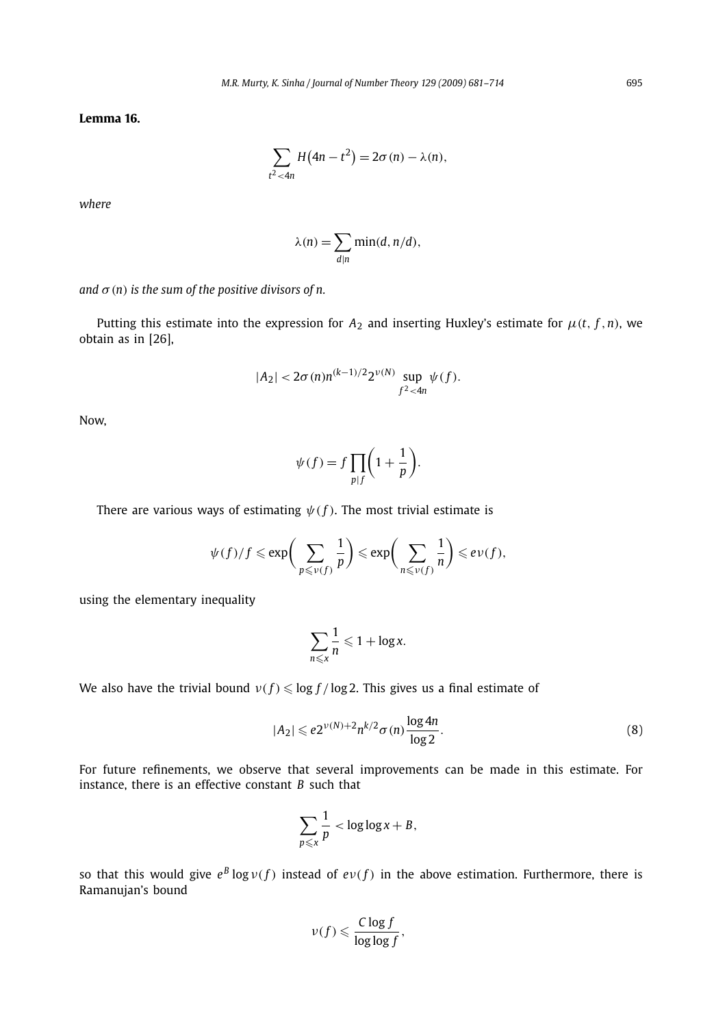**Lemma 16.**

$$
\sum_{t^2 < 4n} H\big(4n - t^2\big) = 2\sigma(n) - \lambda(n),
$$

*where*

$$
\lambda(n) = \sum_{d|n} \min(d, n/d),
$$

*and*  $\sigma$  (*n*) *is the sum of the positive divisors of <i>n*.

Putting this estimate into the expression for  $A_2$  and inserting Huxley's estimate for  $\mu(t, f, n)$ , we obtain as in [26],

$$
|A_2| < 2\sigma(n)n^{(k-1)/2}2^{\nu(N)}\sup_{f^2 < 4n} \psi(f).
$$

Now,

$$
\psi(f) = f \prod_{p \mid f} \left( 1 + \frac{1}{p} \right).
$$

There are various ways of estimating  $\psi(f)$ . The most trivial estimate is

$$
\psi(f)/f \leqslant \exp\biggl(\sum_{p\leqslant v(f)}\frac{1}{p}\biggr) \leqslant \exp\biggl(\sum_{n\leqslant v(f)}\frac{1}{n}\biggr) \leqslant e\,v(f),
$$

using the elementary inequality

$$
\sum_{n\leqslant x}\frac{1}{n}\leqslant 1+\log x.
$$

We also have the trivial bound  $\nu(f)$   $\leqslant$   $\log f/\log 2.$  This gives us a final estimate of

$$
|A_2| \leqslant e2^{\nu(N)+2} n^{k/2} \sigma(n) \frac{\log 4n}{\log 2}.
$$
 (8)

For future refinements, we observe that several improvements can be made in this estimate. For instance, there is an effective constant *B* such that

$$
\sum_{p\leqslant x}\frac{1}{p}<\log\log x+B,
$$

so that this would give  $e^B \log v(f)$  instead of  $e v(f)$  in the above estimation. Furthermore, there is Ramanujan's bound

$$
\nu(f) \leqslant \frac{C \log f}{\log \log f},
$$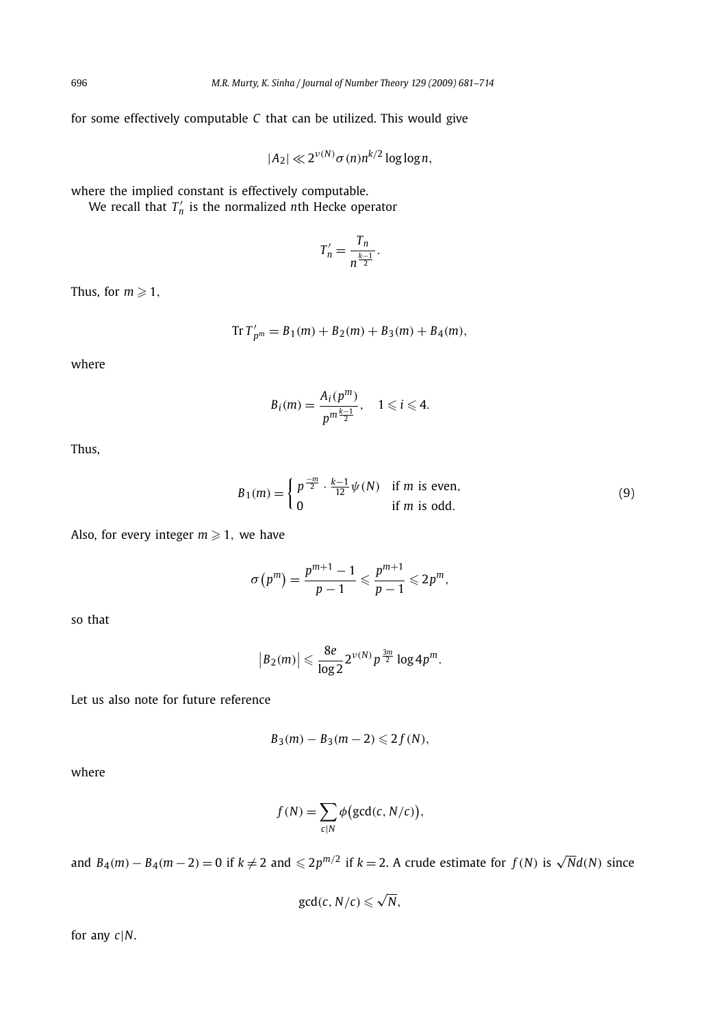for some effectively computable *C* that can be utilized. This would give

 $|A_2| \ll 2^{\nu(N)}\sigma(n)n^{k/2} \log \log n$ ,

where the implied constant is effectively computable.

We recall that  $T'_n$  is the normalized *n*th Hecke operator

$$
T'_n = \frac{T_n}{n^{\frac{k-1}{2}}}.
$$

Thus, for  $m \geq 1$ ,

$$
\operatorname{Tr} T'_{p^m} = B_1(m) + B_2(m) + B_3(m) + B_4(m),
$$

where

$$
B_i(m)=\frac{A_i(p^m)}{p^{m\frac{k-1}{2}}}, \quad 1\leqslant i\leqslant 4.
$$

Thus,

$$
B_1(m) = \begin{cases} p^{\frac{-m}{2}} \cdot \frac{k-1}{12} \psi(N) & \text{if } m \text{ is even,} \\ 0 & \text{if } m \text{ is odd.} \end{cases}
$$
(9)

Also, for every integer  $m \ge 1$ , we have

$$
\sigma(p^m)=\frac{p^{m+1}-1}{p-1}\leqslant\frac{p^{m+1}}{p-1}\leqslant 2p^m,
$$

so that

$$
\left|B_2(m)\right| \leqslant \frac{8e}{\log 2} 2^{\nu(N)} p^{\frac{3m}{2}} \log 4p^m.
$$

Let us also note for future reference

$$
B_3(m)-B_3(m-2)\leqslant 2f(N),
$$

where

$$
f(N) = \sum_{c|N} \phi\big(\gcd(c, N/c)\big),
$$

and  $B_4(m) - B_4(m-2) = 0$  if  $k \neq 2$  and  $\leqslant 2p^{m/2}$  if  $k = 2$ . A crude estimate for  $f(N)$  is  $\sqrt{N}d(N)$  since

$$
\gcd(c, N/c) \leqslant \sqrt{N},
$$

for any *c*|*N*.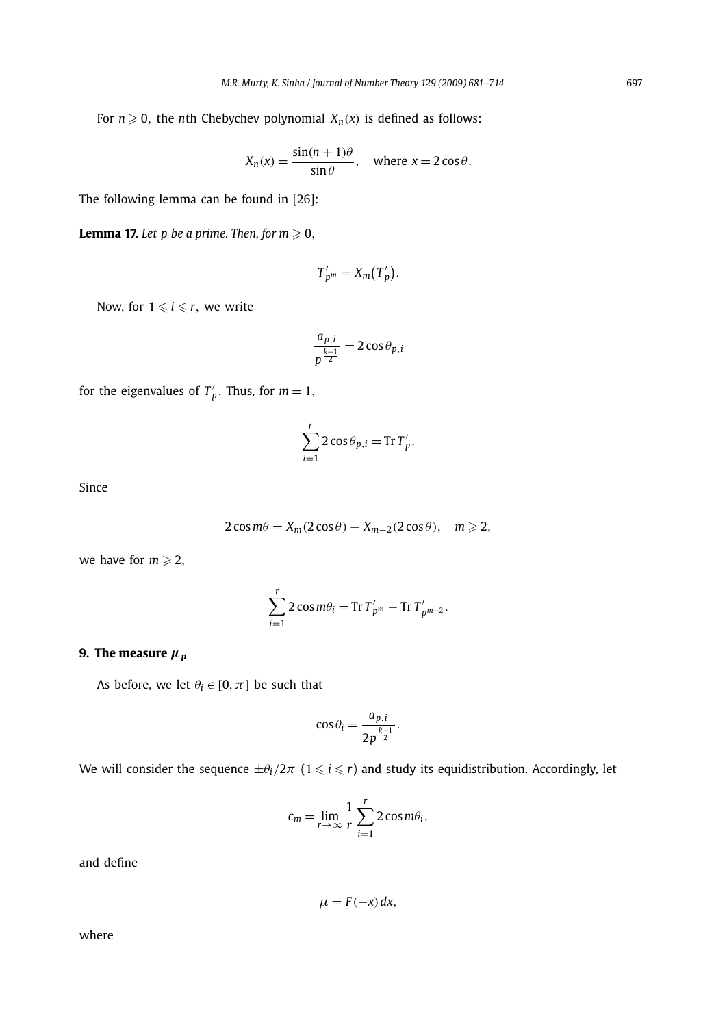For  $n \ge 0$ , the *n*th Chebychev polynomial  $X_n(x)$  is defined as follows:

$$
X_n(x) = \frac{\sin((n+1)\theta)}{\sin(\theta)}, \quad \text{where } x = 2\cos(\theta).
$$

The following lemma can be found in [26]:

**Lemma 17.** Let p be a prime. Then, for  $m \ge 0$ ,

$$
T'_{p^m}=X_m(T'_p).
$$

Now, for  $1 \leq i \leq r$ , we write

$$
\frac{a_{p,i}}{p^{\frac{k-1}{2}}} = 2\cos\theta_{p,i}
$$

for the eigenvalues of  $T_p'$ . Thus, for  $m = 1$ ,

$$
\sum_{i=1}^r 2\cos\theta_{p,i} = \text{Tr } T'_p.
$$

Since

$$
2\cos m\theta = X_m(2\cos\theta) - X_{m-2}(2\cos\theta), \quad m \geq 2,
$$

we have for  $m \geq 2$ ,

$$
\sum_{i=1}^r 2\cos m\theta_i = \text{Tr } T'_{p^m} - \text{Tr } T'_{p^{m-2}}.
$$

# **9.** The measure  $\mu_p$

As before, we let  $\theta_i \in [0, \pi]$  be such that

$$
\cos \theta_i = \frac{a_{p,i}}{2p^{\frac{k-1}{2}}}.
$$

We will consider the sequence  $\pm \theta_i/2\pi$   $(1 \leqslant i \leqslant r)$  and study its equidistribution. Accordingly, let

$$
c_m = \lim_{r \to \infty} \frac{1}{r} \sum_{i=1}^r 2 \cos m \theta_i,
$$

and define

$$
\mu = F(-x) dx,
$$

where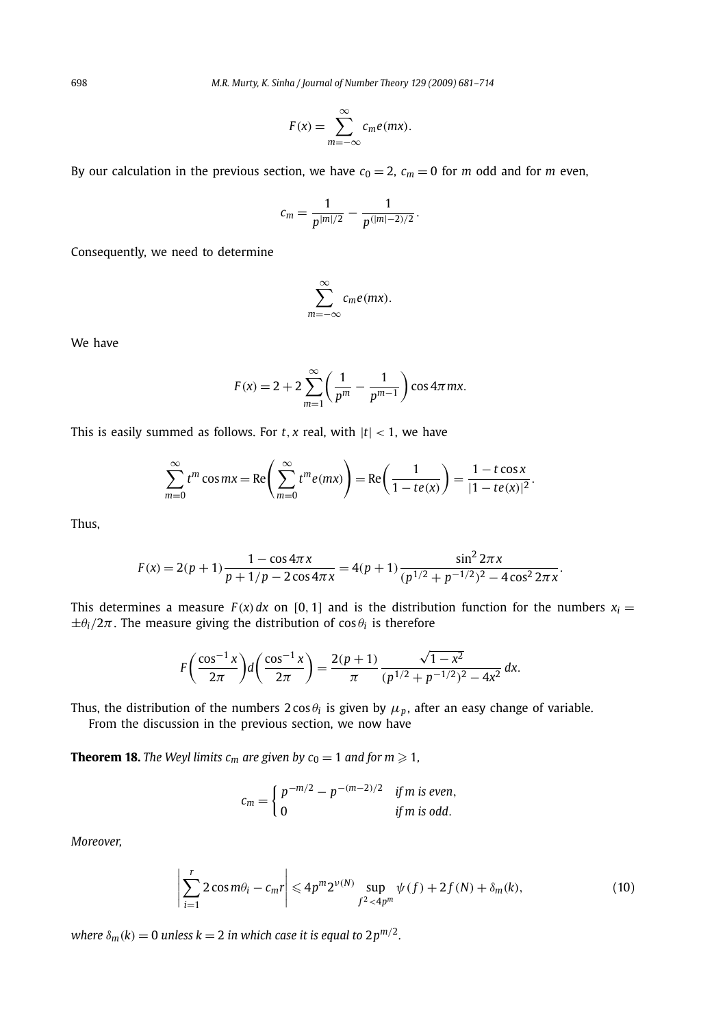$$
F(x) = \sum_{m=-\infty}^{\infty} c_m e(mx).
$$

By our calculation in the previous section, we have  $c_0 = 2$ ,  $c_m = 0$  for *m* odd and for *m* even,

$$
c_m = \frac{1}{p^{|m|/2}} - \frac{1}{p^{\left(|m|-2\right)/2}}.
$$

Consequently, we need to determine

$$
\sum_{m=-\infty}^{\infty} c_m e(mx).
$$

We have

$$
F(x) = 2 + 2 \sum_{m=1}^{\infty} \left( \frac{1}{p^m} - \frac{1}{p^{m-1}} \right) \cos 4\pi m x.
$$

This is easily summed as follows. For *t*, *x* real, with  $|t|$  < 1, we have

$$
\sum_{m=0}^{\infty} t^m \cos mx = \text{Re}\left(\sum_{m=0}^{\infty} t^m e(mx)\right) = \text{Re}\left(\frac{1}{1 - te(x)}\right) = \frac{1 - t \cos x}{|1 - te(x)|^2}.
$$

Thus,

$$
F(x) = 2(p+1)\frac{1-\cos 4\pi x}{p+1/p-2\cos 4\pi x} = 4(p+1)\frac{\sin^2 2\pi x}{(p^{1/2}+p^{-1/2})^2-4\cos^2 2\pi x}.
$$

This determines a measure  $F(x) dx$  on [0, 1] and is the distribution function for the numbers  $x_i =$  $\pm \theta_i/2\pi$ . The measure giving the distribution of cos $\theta_i$  is therefore

$$
F\left(\frac{\cos^{-1} x}{2\pi}\right) d\left(\frac{\cos^{-1} x}{2\pi}\right) = \frac{2(p+1)}{\pi} \frac{\sqrt{1-x^2}}{(p^{1/2}+p^{-1/2})^2-4x^2} dx.
$$

Thus, the distribution of the numbers  $2\cos\theta_i$  is given by  $\mu_p$ , after an easy change of variable.

From the discussion in the previous section, we now have

**Theorem 18.** *The Weyl limits*  $c_m$  *are given by*  $c_0 = 1$  *and for*  $m \ge 1$ *,* 

$$
c_m = \begin{cases} p^{-m/2} - p^{-(m-2)/2} & \text{if } m \text{ is even,} \\ 0 & \text{if } m \text{ is odd.} \end{cases}
$$

*Moreover,*

$$
\left| \sum_{i=1}^{r} 2\cos m\theta_{i} - c_{m} r \right| \leq 4 p^{m} 2^{\nu(N)} \sup_{f^{2} < 4p^{m}} \psi(f) + 2f(N) + \delta_{m}(k), \tag{10}
$$

*where*  $\delta_m(k) = 0$  *unless*  $k = 2$  *in which case it is equal to*  $2p^{m/2}$ *.*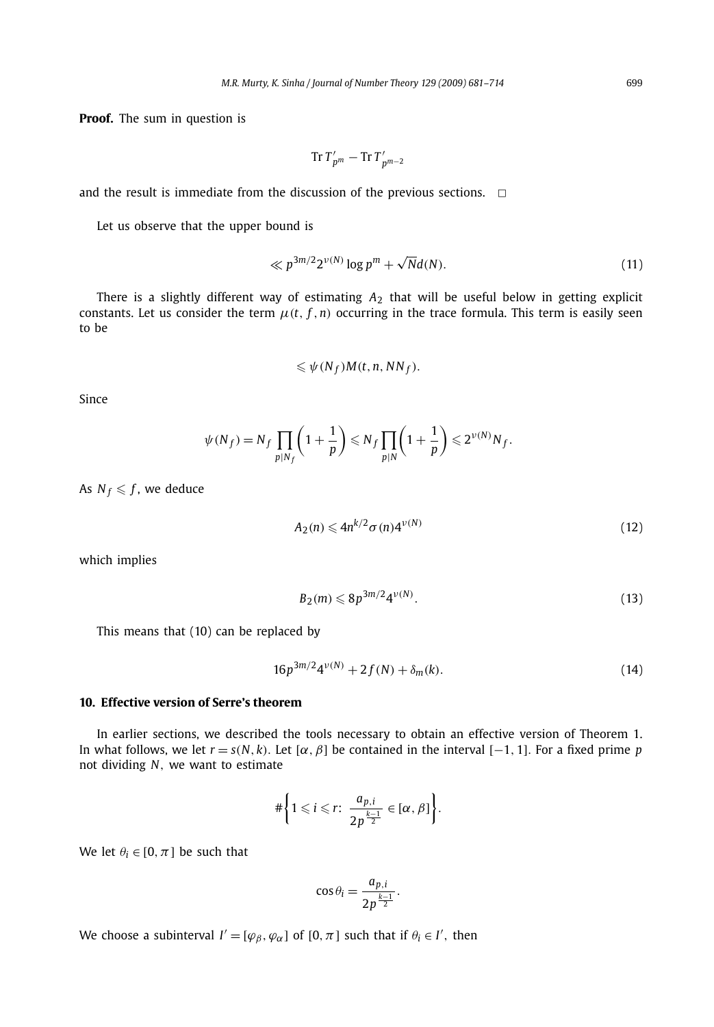**Proof.** The sum in question is

$$
\operatorname{Tr} T'_{p^m} - \operatorname{Tr} T'_{p^{m-2}}
$$

and the result is immediate from the discussion of the previous sections.  $\Box$ 

Let us observe that the upper bound is

$$
\ll p^{3m/2} 2^{\nu(N)} \log p^m + \sqrt{N} d(N). \tag{11}
$$

There is a slightly different way of estimating *A*<sup>2</sup> that will be useful below in getting explicit constants. Let us consider the term  $\mu(t, f, n)$  occurring in the trace formula. This term is easily seen to be

$$
\leq \psi(N_f)M(t,n,NN_f).
$$

Since

$$
\psi(N_f) = N_f \prod_{p|N_f} \left(1 + \frac{1}{p}\right) \le N_f \prod_{p|N} \left(1 + \frac{1}{p}\right) \le 2^{\nu(N)} N_f.
$$

As  $N_f \leqslant f$  , we deduce

$$
A_2(n) \leqslant 4n^{k/2} \sigma(n) 4^{\nu(N)} \tag{12}
$$

which implies

$$
B_2(m) \leqslant 8p^{3m/2}4^{\nu(N)}.\tag{13}
$$

This means that (10) can be replaced by

$$
16p^{3m/2}4^{\nu(N)} + 2f(N) + \delta_m(k). \tag{14}
$$

# **10. Effective version of Serre's theorem**

In earlier sections, we described the tools necessary to obtain an effective version of Theorem 1. In what follows, we let  $r = s(N, k)$ . Let  $[\alpha, \beta]$  be contained in the interval  $[-1, 1]$ . For a fixed prime *p* not dividing *N,* we want to estimate

$$
\#\Bigg\{1\leqslant i\leqslant r\colon\thinspace \frac{a_{p,i}}{2p^{\frac{k-1}{2}}}\in[\alpha,\beta]\Bigg\}.
$$

We let  $\theta_i \in [0, \pi]$  be such that

$$
\cos \theta_i = \frac{a_{p,i}}{2p^{\frac{k-1}{2}}}.
$$

We choose a subinterval  $I' = [\varphi_\beta, \varphi_\alpha]$  of  $[0, \pi]$  such that if  $\theta_i \in I'$ , then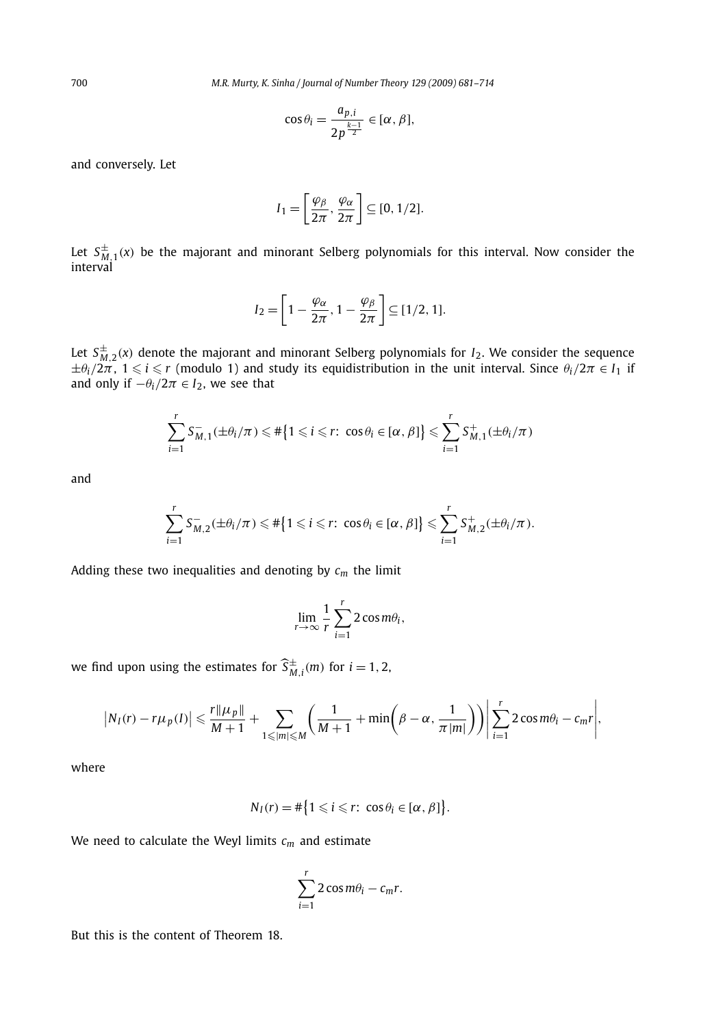700 *M.R. Murty, K. Sinha / Journal of Number Theory 129 (2009) 681–714*

$$
\cos \theta_i = \frac{a_{p,i}}{2p^{\frac{k-1}{2}}} \in [\alpha, \beta],
$$

and conversely. Let

$$
I_1 = \left[\frac{\varphi_\beta}{2\pi}, \frac{\varphi_\alpha}{2\pi}\right] \subseteq [0, 1/2].
$$

Let  $S^{\pm}_{M,1}(\mathsf{x})$  be the majorant and minorant Selberg polynomials for this interval. Now consider the interval

$$
I_2=\left[1-\frac{\varphi_\alpha}{2\pi},1-\frac{\varphi_\beta}{2\pi}\right]\subseteq[1/2,1].
$$

Let  $S_{M,2}^{\pm}(x)$  denote the majorant and minorant Selberg polynomials for *I*<sub>2</sub>. We consider the sequence  $\pm\theta_i/2\pi$ ,  $1\leqslant i\leqslant r$  (modulo 1) and study its equidistribution in the unit interval. Since  $\theta_i/2\pi\in I_1$  if and only if  $-\theta_i/2\pi \in I_2$ , we see that

$$
\sum_{i=1}^r S_{M,1}^-(\pm \theta_i/\pi) \leq \#\big\{1 \leq i \leq r: \ \cos \theta_i \in [\alpha, \beta]\big\} \leq \sum_{i=1}^r S_{M,1}^+(\pm \theta_i/\pi)
$$

and

$$
\sum_{i=1}^r S_{M,2}^-(\pm \theta_i/\pi) \leq \#\big\{1 \leq i \leq r: \ \cos \theta_i \in [\alpha, \beta]\big\} \leq \sum_{i=1}^r S_{M,2}^+(\pm \theta_i/\pi).
$$

Adding these two inequalities and denoting by *cm* the limit

$$
\lim_{r\to\infty}\frac{1}{r}\sum_{i=1}^r 2\cos m\theta_i,
$$

we find upon using the estimates for  $\widehat{S}_{M,i}^{\pm}(m)$  for  $i = 1, 2,$ 

$$
\big|N_I(r)-r\mu_p(I)\big|\leqslant \frac{r\|\mu_p\|}{M+1}+\sum_{1\leqslant |m|\leqslant M}\bigg(\frac{1}{M+1}+\min\bigg(\beta-\alpha,\frac{1}{\pi|m|}\bigg)\bigg)\bigg|\sum_{i=1}^r 2\cos m\theta_i-c_m r\bigg|,
$$

where

$$
N_I(r) = #\{1 \leq i \leq r: \cos \theta_i \in [\alpha, \beta]\}.
$$

We need to calculate the Weyl limits *cm* and estimate

$$
\sum_{i=1}^r 2\cos m\theta_i - c_m r.
$$

But this is the content of Theorem 18.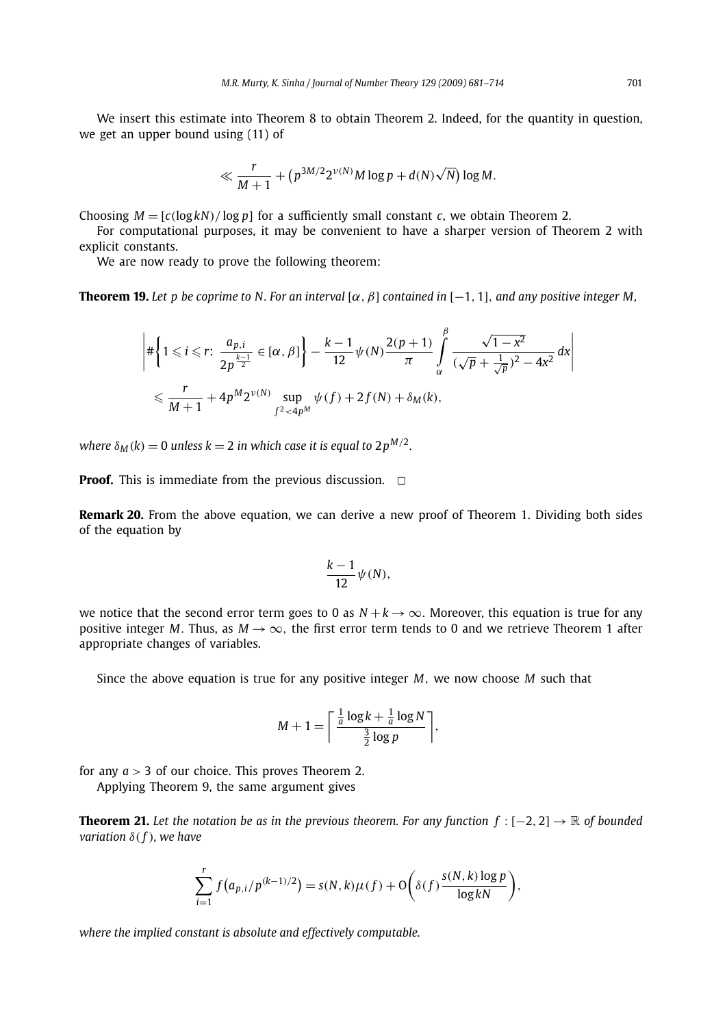We insert this estimate into Theorem 8 to obtain Theorem 2. Indeed, for the quantity in question, we get an upper bound using (11) of

$$
\ll \frac{r}{M+1} + \left(p^{3M/2} 2^{\nu(N)} M \log p + d(N) \sqrt{N}\right) \log M.
$$

Choosing  $M = [c(\log kN)/\log p]$  for a sufficiently small constant *c*, we obtain Theorem 2.

For computational purposes, it may be convenient to have a sharper version of Theorem 2 with explicit constants.

We are now ready to prove the following theorem:

**Theorem 19.** *Let p be coprime to N. For an interval* [*α,β*] *contained in* [−1*,* 1]*, and any positive integer M,*

$$
\left| \#\left\{1 \leq i \leq r: \frac{a_{p,i}}{2p^{\frac{k-1}{2}}} \in [\alpha, \beta] \right\} - \frac{k-1}{12} \psi(N) \frac{2(p+1)}{\pi} \int_{\alpha}^{\beta} \frac{\sqrt{1-x^2}}{(\sqrt{p} + \frac{1}{\sqrt{p}})^2 - 4x^2} dx \right|
$$
  

$$
\leq \frac{r}{M+1} + 4p^M 2^{\nu(N)} \sup_{f^2 < 4p^M} \psi(f) + 2f(N) + \delta_M(k),
$$

*where*  $\delta_M(k) = 0$  *unless*  $k = 2$  *in which case it is equal to*  $2p^{M/2}$ *.* 

**Proof.** This is immediate from the previous discussion.  $\Box$ 

**Remark 20.** From the above equation, we can derive a new proof of Theorem 1. Dividing both sides of the equation by

$$
\frac{k-1}{12}\psi(N),
$$

we notice that the second error term goes to 0 as  $N + k \rightarrow \infty$ . Moreover, this equation is true for any positive integer *M*. Thus, as  $M \rightarrow \infty$ , the first error term tends to 0 and we retrieve Theorem 1 after appropriate changes of variables.

Since the above equation is true for any positive integer *M,* we now choose *M* such that

$$
M+1=\bigg\lceil\frac{\frac{1}{a}\log k+\frac{1}{a}\log N}{\frac{3}{2}\log p}\bigg\rceil,
$$

for any *a >* 3 of our choice. This proves Theorem 2.

Applying Theorem 9, the same argument gives

**Theorem 21.** Let the notation be as in the previous theorem. For any function  $f : [-2, 2] \rightarrow \mathbb{R}$  of bounded *variation δ(f ), we have*

$$
\sum_{i=1}^{r} f(a_{p,i}/p^{(k-1)/2}) = s(N,k)\mu(f) + O\bigg(\delta(f)\frac{s(N,k)\log p}{\log kN}\bigg),
$$

*where the implied constant is absolute and effectively computable.*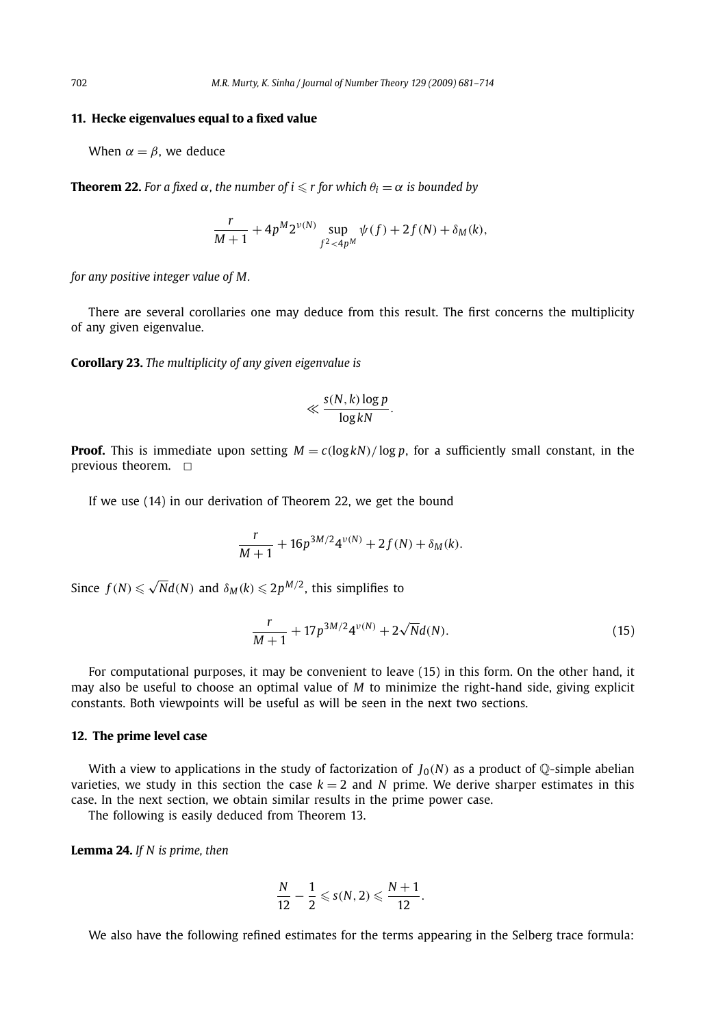# **11. Hecke eigenvalues equal to a fixed value**

When  $\alpha = \beta$ , we deduce

**Theorem 22.** For a fixed  $\alpha$ , the number of  $i \leqslant r$  for which  $\theta_i = \alpha$  is bounded by

$$
\frac{r}{M+1} + 4p^{M}2^{\nu(N)} \sup_{f^{2} < 4p^{M}} \psi(f) + 2f(N) + \delta_{M}(k),
$$

*for any positive integer value of M.*

There are several corollaries one may deduce from this result. The first concerns the multiplicity of any given eigenvalue.

**Corollary 23.** *The multiplicity of any given eigenvalue is*

$$
\ll \frac{s(N,k)\log p}{\log kN}.
$$

**Proof.** This is immediate upon setting  $M = c(\log kN)/\log p$ , for a sufficiently small constant, in the previous theorem.  $\square$ 

If we use (14) in our derivation of Theorem 22, we get the bound

$$
\frac{r}{M+1} + 16p^{3M/2}4^{\nu(N)} + 2f(N) + \delta_M(k).
$$

Since  $f(N) \le \sqrt{N}d(N)$  and  $\delta_M(k) \le 2p^{M/2}$ , this simplifies to

$$
\frac{r}{M+1} + 17p^{3M/2}4^{\nu(N)} + 2\sqrt{N}d(N). \tag{15}
$$

For computational purposes, it may be convenient to leave (15) in this form. On the other hand, it may also be useful to choose an optimal value of *M* to minimize the right-hand side, giving explicit constants. Both viewpoints will be useful as will be seen in the next two sections.

#### **12. The prime level case**

With a view to applications in the study of factorization of  $J_0(N)$  as a product of  $\mathbb{Q}$ -simple abelian varieties, we study in this section the case  $k = 2$  and N prime. We derive sharper estimates in this case. In the next section, we obtain similar results in the prime power case.

The following is easily deduced from Theorem 13.

**Lemma 24.** *If N is prime, then*

$$
\frac{N}{12}-\frac{1}{2}\leqslant s(N,2)\leqslant \frac{N+1}{12}.
$$

We also have the following refined estimates for the terms appearing in the Selberg trace formula: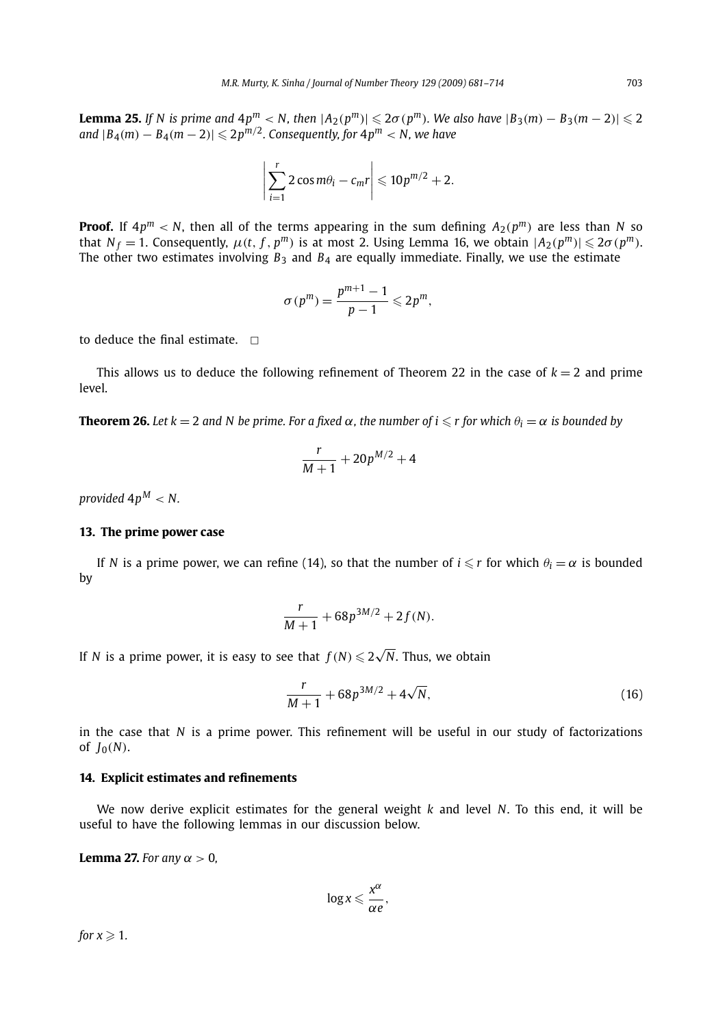**Lemma 25.** If N is prime and  $4p^m < N$ , then  $|A_2(p^m)| \leq 2\sigma(p^m)$ . We also have  $|B_3(m) - B_3(m-2)| \leq 2$ *and*  $|B_4(m) − B_4(m − 2)| \leqslant 2p^{m/2}$ . Consequently, for  $4p^m < N$ , we have

$$
\left|\sum_{i=1}^r 2\cos m\theta_i - c_m r\right| \leqslant 10p^{m/2} + 2.
$$

**Proof.** If  $4p^m < N$ , then all of the terms appearing in the sum defining  $A_2(p^m)$  are less than N so that  $N_f = 1$ . Consequently,  $\mu(t, f, p^m)$  is at most 2. Using Lemma 16, we obtain  $|A_2(p^m)| \leq 2\sigma(p^m)$ . The other two estimates involving  $B_3$  and  $B_4$  are equally immediate. Finally, we use the estimate

$$
\sigma(p^m) = \frac{p^{m+1}-1}{p-1} \leqslant 2p^m,
$$

to deduce the final estimate.  $\Box$ 

This allows us to deduce the following refinement of Theorem 22 in the case of  $k = 2$  and prime level.

**Theorem 26.** Let  $k = 2$  and  $N$  be prime. For a fixed  $\alpha$ , the number of  $i \leq r$  for which  $\theta_i = \alpha$  is bounded by

$$
\frac{r}{M+1}+20p^{M/2}+4
$$

*provided*  $4p^M < N$ .

# **13. The prime power case**

If *N* is a prime power, we can refine (14), so that the number of  $i \leqslant r$  for which  $\theta_i = \alpha$  is bounded by

$$
\frac{r}{M+1} + 68p^{3M/2} + 2f(N).
$$

If *N* is a prime power, it is easy to see that  $f(N)$   $\leqslant$  2 $\sqrt{N}$ . Thus, we obtain

$$
\frac{r}{M+1} + 68p^{3M/2} + 4\sqrt{N},\tag{16}
$$

in the case that *N* is a prime power. This refinement will be useful in our study of factorizations of  $I_0(N)$ .

## **14. Explicit estimates and refinements**

We now derive explicit estimates for the general weight *k* and level *N*. To this end, it will be useful to have the following lemmas in our discussion below.

**Lemma 27.** *For any*  $\alpha > 0$ ,

$$
\log x \leqslant \frac{x^{\alpha}}{\alpha e},
$$

*for*  $x \ge 1$ *.*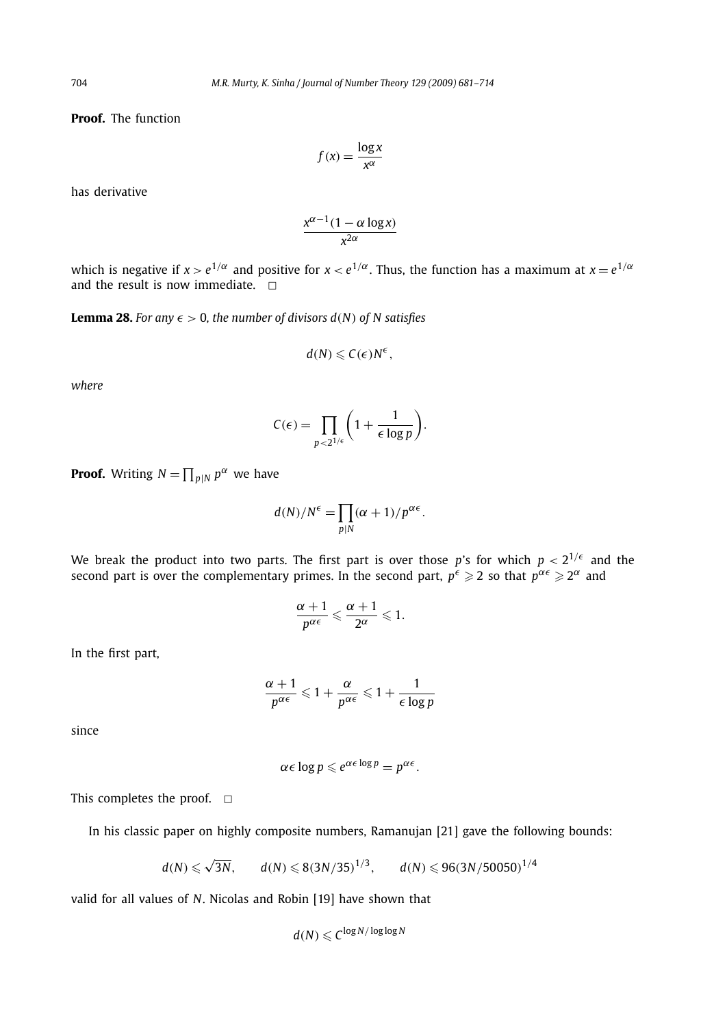**Proof.** The function

$$
f(x) = \frac{\log x}{x^{\alpha}}
$$

has derivative

$$
\frac{x^{\alpha-1}(1-\alpha\log x)}{x^{2\alpha}}
$$

which is negative if  $x > e^{1/\alpha}$  and positive for  $x < e^{1/\alpha}$ . Thus, the function has a maximum at  $x = e^{1/\alpha}$ and the result is now immediate.  $\Box$ 

**Lemma 28.** For any  $\epsilon > 0$ , the number of divisors  $d(N)$  of N satisfies

$$
d(N)\leqslant C(\epsilon)N^{\epsilon},
$$

*where*

$$
C(\epsilon) = \prod_{p < 2^{1/\epsilon}} \left( 1 + \frac{1}{\epsilon \log p} \right).
$$

**Proof.** Writing  $N = \prod_{p|N} p^{\alpha}$  we have

$$
d(N)/N^{\epsilon} = \prod_{p|N} (\alpha + 1)/p^{\alpha \epsilon}.
$$

We break the product into two parts. The first part is over those *p*'s for which  $p < 2^{1/\epsilon}$  and the second part is over the complementary primes. In the second part,  $p^{\epsilon} \ge 2$  so that  $p^{\alpha \epsilon} \ge 2^{\alpha}$  and

$$
\frac{\alpha+1}{p^{\alpha\epsilon}}\leqslant \frac{\alpha+1}{2^\alpha}\leqslant 1.
$$

In the first part,

$$
\frac{\alpha+1}{p^{\alpha\epsilon}}\leqslant 1+\frac{\alpha}{p^{\alpha\epsilon}}\leqslant 1+\frac{1}{\epsilon\log p}
$$

since

$$
\alpha \in \log p \leqslant e^{\alpha \in \log p} = p^{\alpha \in}.
$$

This completes the proof.  $\square$ 

In his classic paper on highly composite numbers, Ramanujan [21] gave the following bounds:

$$
d(N) \leq \sqrt{3N}
$$
,  $d(N) \leq 8(3N/35)^{1/3}$ ,  $d(N) \leq 96(3N/50050)^{1/4}$ 

valid for all values of *N*. Nicolas and Robin [19] have shown that

$$
d(N) \leqslant C^{\log N/\log\log N}
$$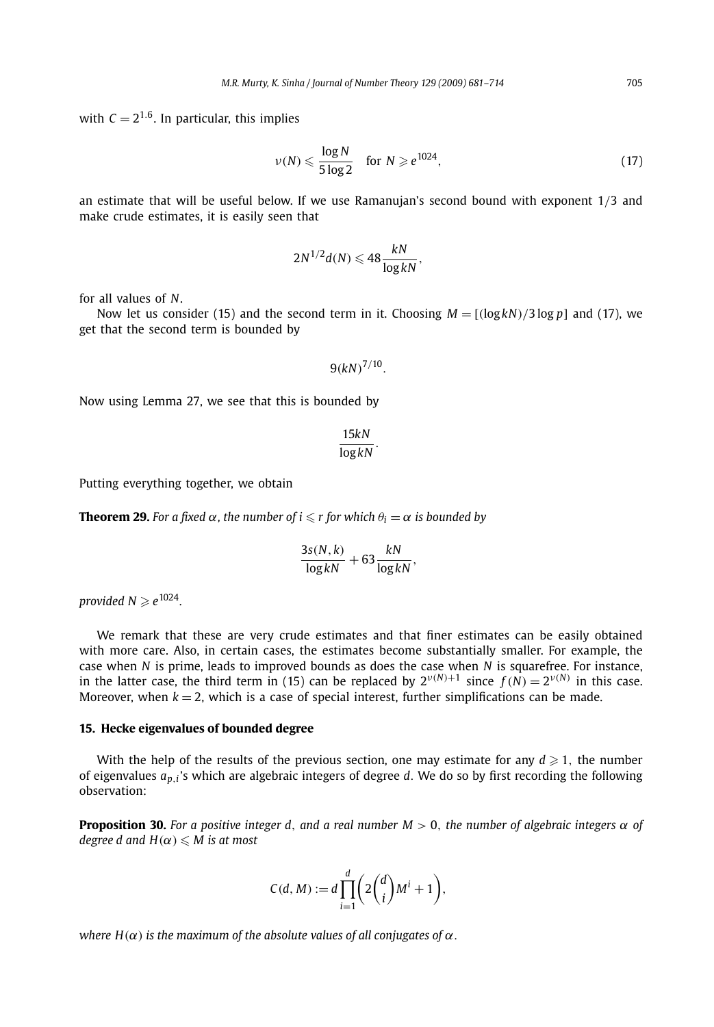with  $C = 2^{1.6}$ . In particular, this implies

$$
\nu(N) \leqslant \frac{\log N}{5 \log 2} \quad \text{for } N \geqslant e^{1024},\tag{17}
$$

an estimate that will be useful below. If we use Ramanujan's second bound with exponent 1*/*3 and make crude estimates, it is easily seen that

$$
2N^{1/2}d(N)\leqslant 48\frac{kN}{\log kN},
$$

for all values of *N*.

Now let us consider (15) and the second term in it. Choosing  $M = \left[\frac{\log k}{N}\right]$  and (17), we get that the second term is bounded by

$$
9(kN)^{7/10}.
$$

Now using Lemma 27, we see that this is bounded by

$$
\frac{15kN}{\log kN}.
$$

Putting everything together, we obtain

**Theorem 29.** For a fixed  $\alpha$  , the number of  $i \leqslant r$  for which  $\theta_i = \alpha$  is bounded by

$$
\frac{3s(N,k)}{\log kN} + 63 \frac{kN}{\log kN},
$$

*provided*  $N \geq e^{1024}$ .

We remark that these are very crude estimates and that finer estimates can be easily obtained with more care. Also, in certain cases, the estimates become substantially smaller. For example, the case when *N* is prime, leads to improved bounds as does the case when *N* is squarefree. For instance, in the latter case, the third term in (15) can be replaced by  $2^{v(N)+1}$  since  $f(N) = 2^{v(N)}$  in this case. Moreover, when  $k = 2$ , which is a case of special interest, further simplifications can be made.

# **15. Hecke eigenvalues of bounded degree**

With the help of the results of the previous section, one may estimate for any  $d \geq 1$ , the number of eigenvalues *ap,<sup>i</sup>* 's which are algebraic integers of degree *d.* We do so by first recording the following observation:

**Proposition 30.** *For a positive integer d, and a real number M >* 0*, the number of algebraic integers α of*  $degree d$  and  $H(\alpha) \leqslant M$  is at most

$$
C(d, M) := d \prod_{i=1}^d \left( 2 {d \choose i} M^i + 1 \right),
$$

*where H*( $\alpha$ ) *is the maximum of the absolute values of all conjugates of*  $\alpha$ *.*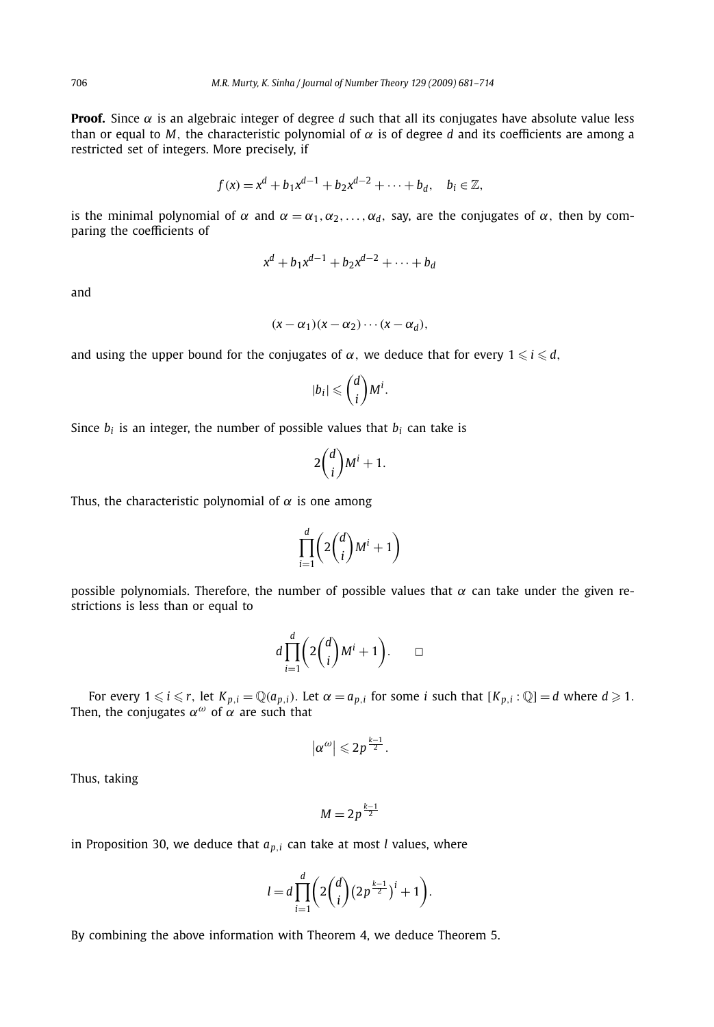**Proof.** Since *α* is an algebraic integer of degree *d* such that all its conjugates have absolute value less than or equal to *M,* the characteristic polynomial of *α* is of degree *d* and its coefficients are among a restricted set of integers. More precisely, if

$$
f(x) = xd + b_1xd-1 + b_2xd-2 + \dots + b_d, \quad b_i \in \mathbb{Z},
$$

is the minimal polynomial of  $\alpha$  and  $\alpha = \alpha_1, \alpha_2, \ldots, \alpha_d$ , say, are the conjugates of  $\alpha$ , then by comparing the coefficients of

$$
x^{d} + b_1 x^{d-1} + b_2 x^{d-2} + \cdots + b_d
$$

and

$$
(x-\alpha_1)(x-\alpha_2)\cdots(x-\alpha_d),
$$

and using the upper bound for the conjugates of  $\alpha$ , we deduce that for every  $1 \leqslant i \leqslant d$ ,

$$
|b_i| \leqslant {d \choose i} M^i.
$$

Since  $b_i$  is an integer, the number of possible values that  $b_i$  can take is

$$
2\binom{d}{i}M^i+1.
$$

Thus, the characteristic polynomial of  $\alpha$  is one among

$$
\prod_{i=1}^d \left( 2\binom{d}{i}M^i + 1 \right)
$$

possible polynomials. Therefore, the number of possible values that  $\alpha$  can take under the given restrictions is less than or equal to

$$
d\prod_{i=1}^d \biggl(2\binom{d}{i}M^i+1\biggr). \qquad \Box
$$

For every  $1 \leq i \leq r$ , let  $K_{p,i} = \mathbb{Q}(a_{p,i})$ . Let  $\alpha = a_{p,i}$  for some  $i$  such that  $[K_{p,i} : \mathbb{Q}] = d$  where  $d \geqslant 1$ . Then, the conjugates  $\alpha^{\omega}$  of  $\alpha$  are such that

$$
|\alpha^{\omega}| \leqslant 2p^{\frac{k-1}{2}}.
$$

Thus, taking

$$
M=2p^{\frac{k-1}{2}}
$$

in Proposition 30, we deduce that *ap,<sup>i</sup>* can take at most *l* values, where

$$
l = d \prod_{i=1}^{d} \left( 2 {d \choose i} (2 p^{\frac{k-1}{2}})^i + 1 \right).
$$

By combining the above information with Theorem 4, we deduce Theorem 5.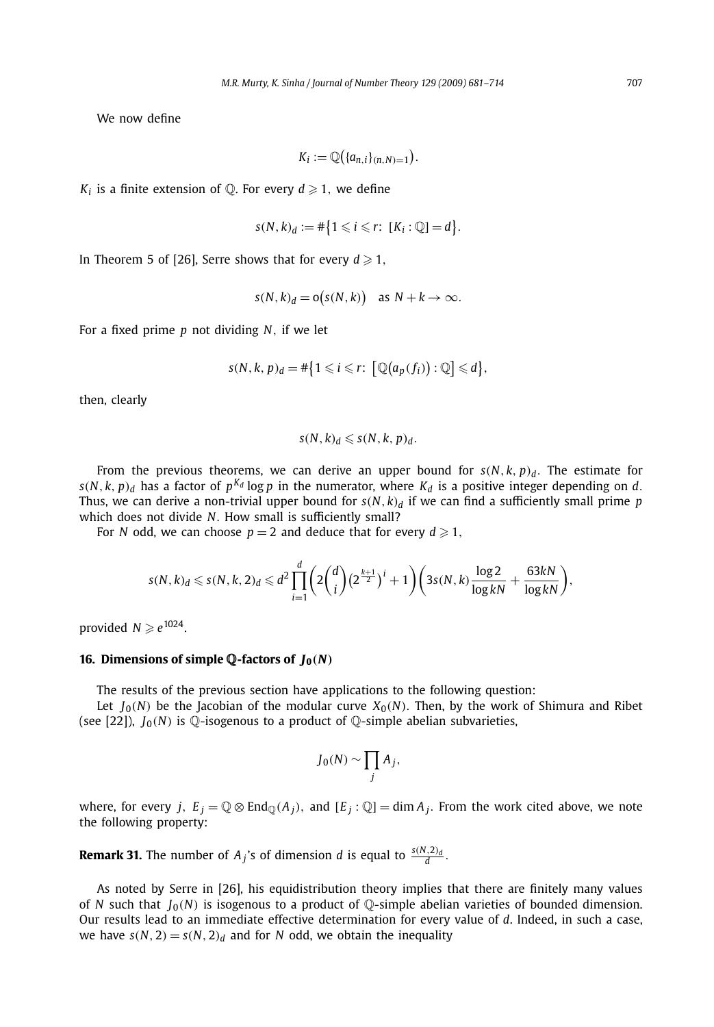We now define

$$
K_i:=\mathbb{Q}(\{a_{n,i}\}_{(n,N)=1}).
$$

*K<sub>i</sub>* is a finite extension of  $\mathbb{O}$ . For every  $d \ge 1$ , we define

$$
s(N,k)_d := #\big\{1 \leqslant i \leqslant r\colon [K_i:\mathbb{Q}]=d\big\}.
$$

In Theorem 5 of [26], Serre shows that for every  $d \ge 1$ ,

$$
s(N,k)d = o(s(N,k)) \text{ as } N + k \to \infty.
$$

For a fixed prime *p* not dividing *N,* if we let

$$
s(N, k, p)d = #{1 \leq i \leq r: \left[ \mathbb{Q}(a_p(f_i)) : \mathbb{Q} \right] \leq d},
$$

then, clearly

$$
s(N,k)_d\leqslant s(N,k,p)_d.
$$

From the previous theorems, we can derive an upper bound for  $s(N, k, p)$ <sup>d</sup>. The estimate for  $s(N, k, p)$ <sup>*d*</sup> has a factor of  $p^{K_d} \log p$  in the numerator, where  $K_d$  is a positive integer depending on *d*. Thus, we can derive a non-trivial upper bound for  $s(N, k)$  if we can find a sufficiently small prime *p* which does not divide *N.* How small is sufficiently small?

For *N* odd, we can choose  $p = 2$  and deduce that for every  $d \ge 1$ ,

$$
s(N,k)_d \leqslant s(N,k,2)_d \leqslant d^2 \prod_{i=1}^d \left( 2 {d \choose i} \left( 2^{\frac{k+1}{2}} \right)^i + 1 \right) \left( 3s(N,k) \frac{\log 2}{\log kN} + \frac{63kN}{\log kN} \right),
$$

provided  $N \ge e^{1024}$ .

# **16. Dimensions of simple Q-factors of**  $J_0(N)$

The results of the previous section have applications to the following question:

Let  $J_0(N)$  be the Jacobian of the modular curve  $X_0(N)$ . Then, by the work of Shimura and Ribet (see [22]),  $I_0(N)$  is  $\mathbb{Q}$ -isogenous to a product of  $\mathbb{Q}$ -simple abelian subvarieties,

$$
J_0(N)\sim \prod_j A_j,
$$

where, for every *j*,  $E_j = \mathbb{Q} \otimes \text{End}_{\mathbb{Q}}(A_j)$ , and  $[E_j : \mathbb{Q}] = \dim A_j$ . From the work cited above, we note the following property:

**Remark 31.** The number of  $A_j$ 's of dimension *d* is equal to  $\frac{s(N,2)_d}{d}$ .

As noted by Serre in [26], his equidistribution theory implies that there are finitely many values of *N* such that  $J_0(N)$  is isogenous to a product of Q-simple abelian varieties of bounded dimension. Our results lead to an immediate effective determination for every value of *d*. Indeed, in such a case, we have  $s(N, 2) = s(N, 2)<sub>d</sub>$  and for *N* odd, we obtain the inequality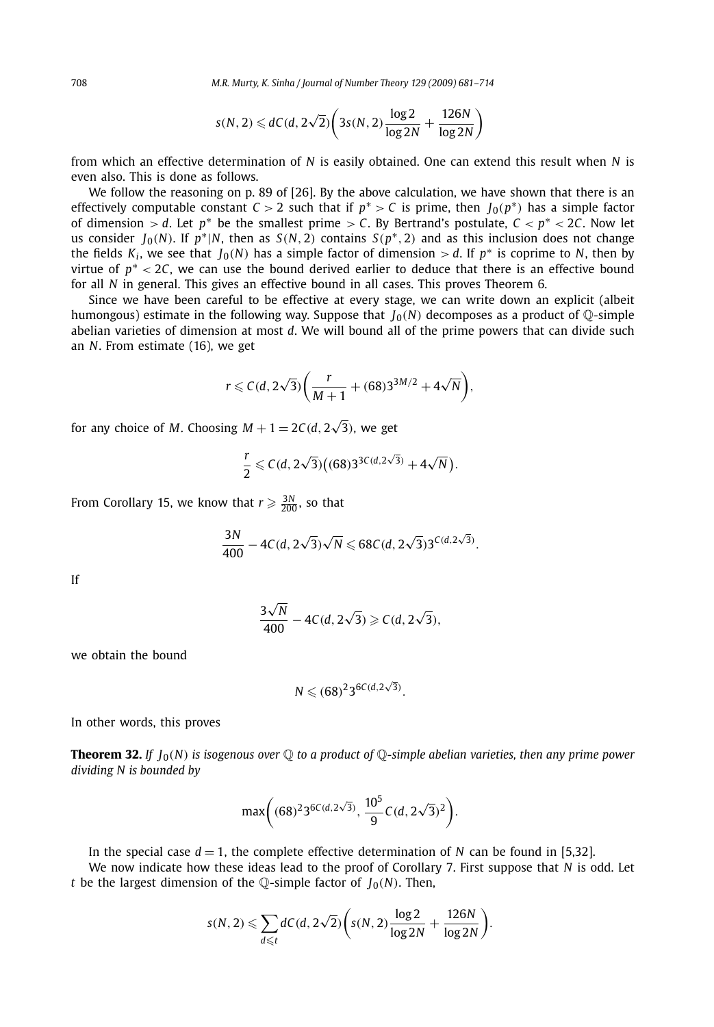$$
s(N, 2) \leq dC(d, 2\sqrt{2}) \left(3s(N, 2) \frac{\log 2}{\log 2N} + \frac{126N}{\log 2N}\right)
$$

from which an effective determination of *N* is easily obtained. One can extend this result when *N* is even also. This is done as follows.

We follow the reasoning on p. 89 of [26]. By the above calculation, we have shown that there is an effectively computable constant  $C > 2$  such that if  $p^* > C$  is prime, then  $J_0(p^*)$  has a simple factor of dimension  $> d$ . Let  $p^*$  be the smallest prime  $> C$ . By Bertrand's postulate,  $C < p^* < 2C$ . Now let us consider  $J_0(N)$ . If  $p^*|N$ , then as  $S(N, 2)$  contains  $S(p^*, 2)$  and as this inclusion does not change the fields  $K_i$ , we see that  $J_0(N)$  has a simple factor of dimension  $> d$ . If  $p^*$  is coprime to N, then by virtue of *p*<sup>∗</sup> *<* 2*C*, we can use the bound derived earlier to deduce that there is an effective bound for all *N* in general. This gives an effective bound in all cases. This proves Theorem 6.

Since we have been careful to be effective at every stage, we can write down an explicit (albeit humongous) estimate in the following way. Suppose that  $J_0(N)$  decomposes as a product of  $\mathbb{O}$ -simple abelian varieties of dimension at most *d*. We will bound all of the prime powers that can divide such an *N*. From estimate (16), we get

$$
r \leq C(d, 2\sqrt{3}) \bigg( \frac{r}{M+1} + (68)3^{3M/2} + 4\sqrt{N} \bigg),
$$

for any choice of *M*. Choosing  $M + 1 = 2C(d, 2\sqrt{3})$ , we get

$$
\frac{r}{2} \leqslant C(d, 2\sqrt{3}) \big( (68) 3^{3C(d, 2\sqrt{3})} + 4\sqrt{N} \big).
$$

From Corollary 15, we know that  $r \geqslant \frac{3N}{200}$ , so that

$$
\frac{3N}{400} - 4C(d, 2\sqrt{3})\sqrt{N} \leqslant 68C(d, 2\sqrt{3})3^{C(d, 2\sqrt{3})}.
$$

If

$$
\frac{3\sqrt{N}}{400} - 4C(d, 2\sqrt{3}) \geqslant C(d, 2\sqrt{3}),
$$

we obtain the bound

$$
N\leqslant (68)^23^{6C(d,2\sqrt{3})}.
$$

In other words, this proves

**Theorem 32.** If  $J_0(N)$  is isogenous over  $\mathbb Q$  to a product of  $\mathbb Q$ -simple abelian varieties, then any prime power *dividing N is bounded by*

$$
\max\biggl( (68)^2 3^{6C(d,2\sqrt{3})}, \frac{10^5}{9} C(d,2\sqrt{3})^2 \biggr).
$$

In the special case  $d = 1$ , the complete effective determination of *N* can be found in [5,32].

We now indicate how these ideas lead to the proof of Corollary 7. First suppose that *N* is odd. Let *t* be the largest dimension of the Q-simple factor of  $J_0(N)$ . Then,

$$
s(N, 2) \leqslant \sum_{d \leqslant t} dC(d, 2\sqrt{2}) \bigg( s(N, 2) \frac{\log 2}{\log 2N} + \frac{126N}{\log 2N} \bigg).
$$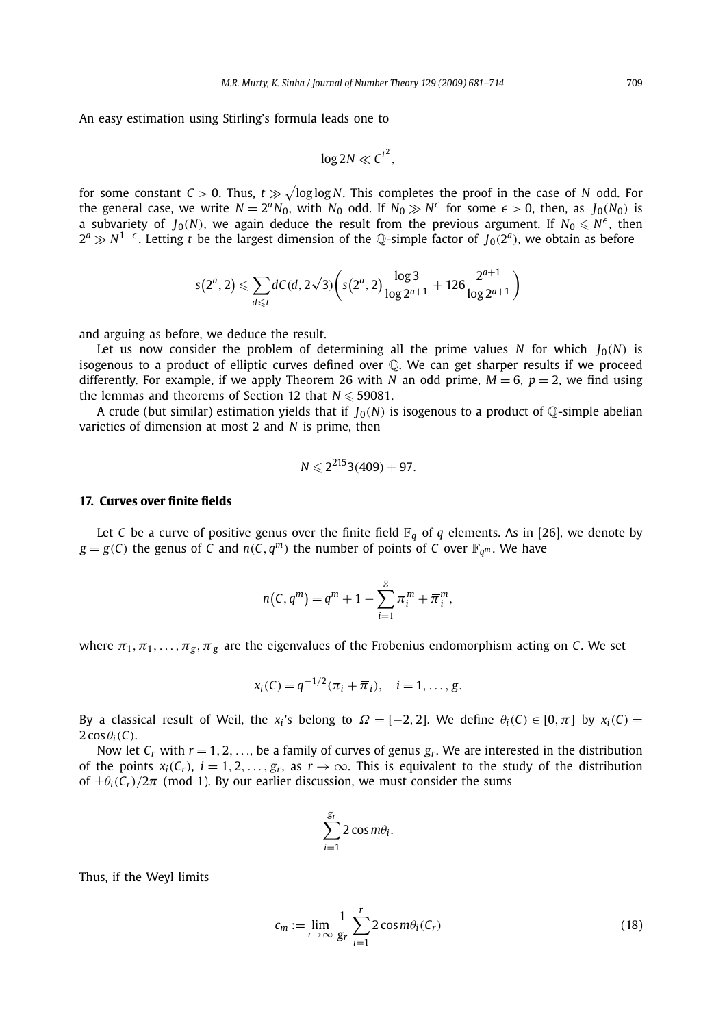An easy estimation using Stirling's formula leads one to

$$
\log 2N \ll C^{t^2},
$$

for some constant  $C > 0$ . Thus,  $t \gg \sqrt{\log \log N}$ . This completes the proof in the case of *N* odd. For the general case, we write  $N = 2^a N_0$ , with  $N_0$  odd. If  $N_0 \gg N^{\epsilon}$  for some  $\epsilon > 0$ , then, as  $J_0(N_0)$  is a subvariety of  $J_0(N)$ , we again deduce the result from the previous argument. If  $N_0 \leqslant N^{\epsilon}$ , then  $2^a \gg N^{1-\epsilon}$ . Letting *t* be the largest dimension of the Q-simple factor of  $J_0(2^a)$ , we obtain as before

$$
s(2^a, 2) \leq \sum_{d \leq t} dC(d, 2\sqrt{3}) \left( s(2^a, 2) \frac{\log 3}{\log 2^{a+1}} + 126 \frac{2^{a+1}}{\log 2^{a+1}} \right)
$$

and arguing as before, we deduce the result.

Let us now consider the problem of determining all the prime values *N* for which  $J_0(N)$  is isogenous to a product of elliptic curves defined over Q. We can get sharper results if we proceed differently. For example, if we apply Theorem 26 with *N* an odd prime,  $M = 6$ ,  $p = 2$ , we find using the lemmas and theorems of Section 12 that  $N \leqslant 59081$ .

A crude (but similar) estimation yields that if  $J_0(N)$  is isogenous to a product of  $\mathbb{Q}$ -simple abelian varieties of dimension at most 2 and *N* is prime, then

$$
N\leqslant 2^{215}3(409)+97.
$$

#### **17. Curves over finite fields**

Let *C* be a curve of positive genus over the finite field  $\mathbb{F}_q$  of *q* elements. As in [26], we denote by  $g = g(C)$  the genus of *C* and  $n(C, q^m)$  the number of points of *C* over  $\mathbb{F}_{q^m}$ . We have

$$
n(C, q^m) = q^m + 1 - \sum_{i=1}^{g} \pi_i^m + \overline{\pi}_i^m,
$$

where  $\pi_1, \pi_1, \ldots, \pi_g, \pi_g$  are the eigenvalues of the Frobenius endomorphism acting on *C*. We set

$$
x_i(C) = q^{-1/2}(\pi_i + \overline{\pi}_i), \quad i = 1, ..., g.
$$

By a classical result of Weil, the *xi* 's belong to *Ω* = [−2*,* 2]. We define *θi(C)* ∈ [0*,π*] by *xi(C)* =  $2 \cos \theta_i(C)$ .

Now let  $C_r$  with  $r = 1, 2, \ldots$ , be a family of curves of genus  $g_r$ . We are interested in the distribution of the points  $x_i(C_r)$ ,  $i = 1, 2, \ldots, g_r$ , as  $r \to \infty$ . This is equivalent to the study of the distribution of  $\pm \theta_i(C_r)/2\pi$  (mod 1). By our earlier discussion, we must consider the sums

$$
\sum_{i=1}^{g_r} 2 \cos m \theta_i.
$$

Thus, if the Weyl limits

$$
c_m := \lim_{r \to \infty} \frac{1}{g_r} \sum_{i=1}^r 2 \cos m \theta_i(C_r)
$$
 (18)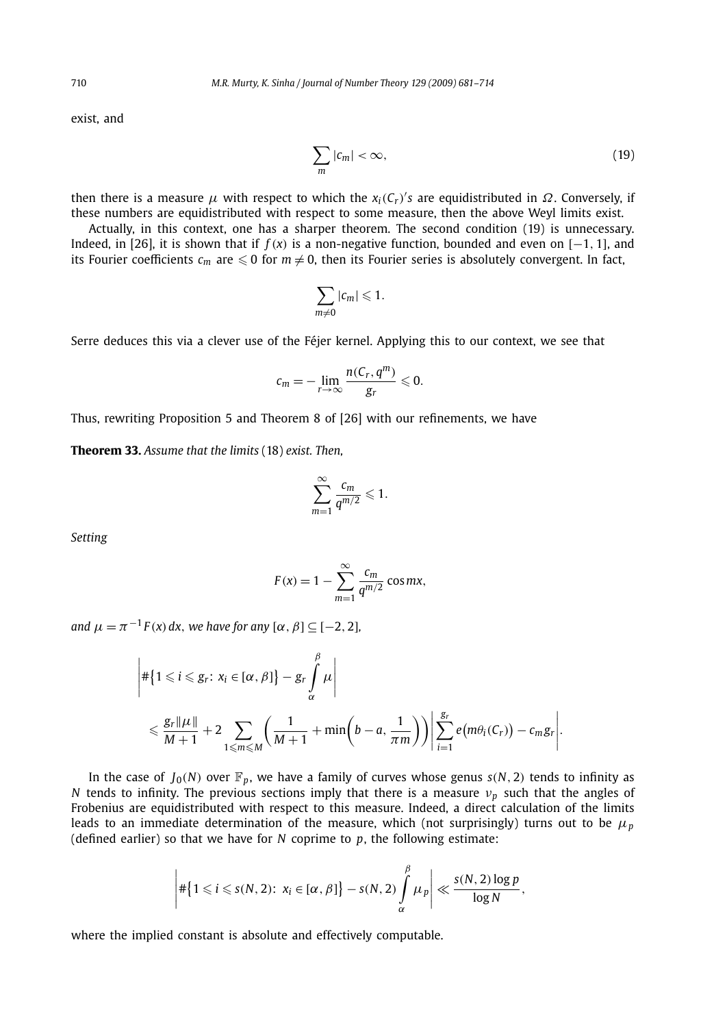exist, and

$$
\sum_{m}|c_{m}|<\infty,
$$
\n(19)

then there is a measure  $\mu$  with respect to which the  $x_i(C_r)'$ s are equidistributed in  $\Omega$ . Conversely, if these numbers are equidistributed with respect to some measure, then the above Weyl limits exist.

Actually, in this context, one has a sharper theorem. The second condition (19) is unnecessary. Indeed, in [26], it is shown that if  $f(x)$  is a non-negative function, bounded and even on  $[-1, 1]$ , and its Fourier coefficients  $c_m$  are  $\leqslant$  0 for  $m\neq 0$ , then its Fourier series is absolutely convergent. In fact,

$$
\sum_{m\neq 0} |c_m| \leq 1.
$$

Serre deduces this via a clever use of the Féjer kernel. Applying this to our context, we see that

$$
c_m=-\lim_{r\to\infty}\frac{n(C_r,q^m)}{g_r}\leq 0.
$$

Thus, rewriting Proposition 5 and Theorem 8 of [26] with our refinements, we have

**Theorem 33.** *Assume that the limits* (18) *exist. Then,*

$$
\sum_{m=1}^{\infty} \frac{c_m}{q^{m/2}} \leqslant 1.
$$

*Setting*

$$
F(x) = 1 - \sum_{m=1}^{\infty} \frac{c_m}{q^{m/2}} \cos mx,
$$

*and*  $\mu = \pi^{-1} F(x) dx$ *, we have for any*  $[\alpha, \beta] \subseteq [-2, 2]$ *,* 

$$
\left| \# \{1 \leq i \leq g_r \colon x_i \in [\alpha, \beta] \} - g_r \int_{\alpha}^{\beta} \mu \right|
$$
  

$$
\leq \frac{g_r \|\mu\|}{M+1} + 2 \sum_{1 \leq m \leq M} \left( \frac{1}{M+1} + \min\left(b - a, \frac{1}{\pi m}\right) \right) \left| \sum_{i=1}^{g_r} e(m\theta_i(C_r)) - c_m g_r \right|.
$$

In the case of  $J_0(N)$  over  $\mathbb{F}_p$ , we have a family of curves whose genus  $s(N, 2)$  tends to infinity as *N* tends to infinity. The previous sections imply that there is a measure *ν<sup>p</sup>* such that the angles of Frobenius are equidistributed with respect to this measure. Indeed, a direct calculation of the limits leads to an immediate determination of the measure, which (not surprisingly) turns out to be *μ<sup>p</sup>* (defined earlier) so that we have for *N* coprime to *p*, the following estimate:

$$
\left| \#\big\{1\leqslant i\leqslant s(N,2)\colon\, x_i\in[\alpha,\beta]\big\}-s(N,2)\int\limits_{\alpha}^{\beta}\mu_p\right|\ll \frac{s(N,2)\log p}{\log N},
$$

where the implied constant is absolute and effectively computable.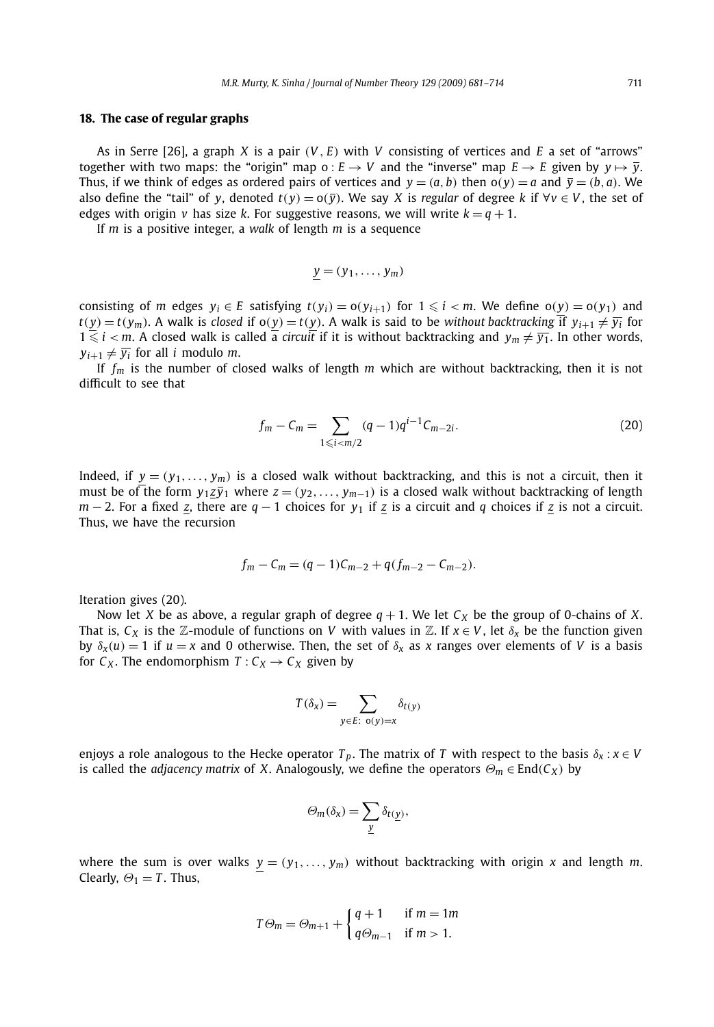# **18. The case of regular graphs**

As in Serre [26], a graph *X* is a pair  $(V, E)$  with *V* consisting of vertices and *E* a set of "arrows" together with two maps: the "origin" map  $o: E \to V$  and the "inverse" map  $E \to E$  given by  $y \mapsto \overline{y}$ . Thus, if we think of edges as ordered pairs of vertices and  $y = (a, b)$  then  $o(y) = a$  and  $\overline{y} = (b, a)$ . We also define the "tail" of *y*, denoted  $t(y) = o(\overline{y})$ . We say *X* is *regular* of degree *k* if  $\forall v \in V$ , the set of edges with origin *v* has size *k*. For suggestive reasons, we will write  $k = q + 1$ .

If *m* is a positive integer, a *walk* of length *m* is a sequence

$$
\underline{y}=(y_1,\ldots,y_m)
$$

consisting of m edges  $y_i \in E$  satisfying  $t(y_i) = o(y_{i+1})$  for  $1 \le i < m$ . We define  $o(y) = o(y_1)$  and  $t(y) = t(y_m)$ . A walk is closed if  $o(y) = t(y)$ . A walk is said to be without backtracking if  $y_{i+1} \neq \overline{y_i}$  for  $1 \leq i < m$ . A closed walk is called a *circuit* if it is without backtracking and  $y_m \neq \overline{y_1}$ . In other words,  $y_{i+1} \neq \overline{y_i}$  for all *i* modulo *m*.

If *fm* is the number of closed walks of length *m* which are without backtracking, then it is not difficult to see that

$$
f_m - C_m = \sum_{1 \le i < m/2} (q-1) q^{i-1} C_{m-2i}.
$$
\n(20)

Indeed, if  $y = (y_1, \ldots, y_m)$  is a closed walk without backtracking, and this is not a circuit, then it must be of the form  $y_1 \overline{z} \overline{y}_1$  where  $z = (y_2, \ldots, y_{m-1})$  is a closed walk without backtracking of length *m* − 2. For a fixed *z*, there are *q* − 1 choices for *y*<sub>1</sub> if *z* is a circuit and *q* choices if *z* is not a circuit. Thus, we have the recursion

$$
f_m - C_m = (q - 1)C_{m-2} + q(f_{m-2} - C_{m-2}).
$$

Iteration gives (20).

Now let *X* be as above, a regular graph of degree  $q + 1$ . We let  $C_X$  be the group of 0-chains of *X*. That is,  $C_X$  is the Z-module of functions on *V* with values in Z. If  $x \in V$ , let  $\delta_X$  be the function given by  $\delta_X(u) = 1$  if  $u = x$  and 0 otherwise. Then, the set of  $\delta_X$  as x ranges over elements of *V* is a basis for  $C_X$ . The endomorphism  $T: C_X \to C_X$  given by

$$
T(\delta_x) = \sum_{y \in E: \ o(y) = x} \delta_{t(y)}
$$

enjoys a role analogous to the Hecke operator  $T_p$ . The matrix of *T* with respect to the basis  $\delta_x$ :  $x \in V$ is called the *adjacency matrix* of *X*. Analogously, we define the operators  $\Theta_m \in \text{End}(C_\chi)$  by

$$
\Theta_m(\delta_x) = \sum_{\underline{y}} \delta_{t(\underline{y})},
$$

where the sum is over walks  $y = (y_1, \ldots, y_m)$  without backtracking with origin *x* and length *m*. Clearly,  $\Theta_1 = T$ . Thus,

$$
T\Theta_m = \Theta_{m+1} + \begin{cases} q+1 & \text{if } m = 1m \\ q\Theta_{m-1} & \text{if } m > 1. \end{cases}
$$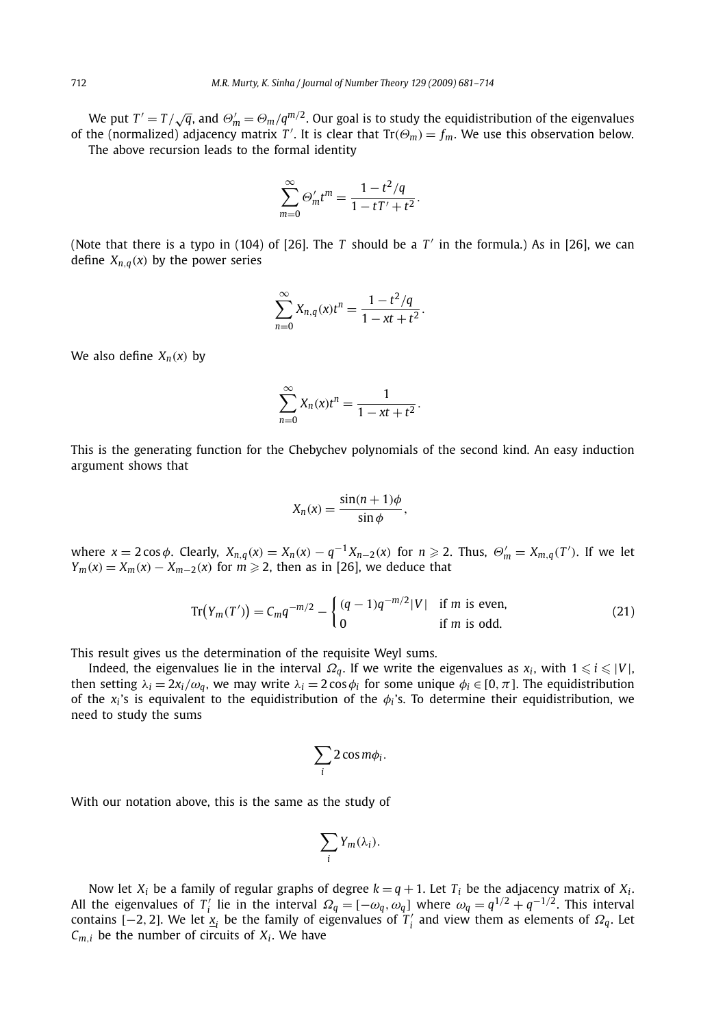We put  $T' = T/\sqrt{q}$ , and  $\Theta_m' = \Theta_m/q^{m/2}$ . Our goal is to study the equidistribution of the eigenvalues of the (normalized) adjacency matrix *T'*. It is clear that  $Tr(\Theta_m) = f_m$ . We use this observation below. The above recursion leads to the formal identity

> $\sum^{\infty}$ *m*=0  $\Theta_m' t^m = \frac{1 - t^2/q}{1 - tT' + t^2}.$

(Note that there is a typo in  $(104)$  of  $[26]$ . The *T* should be a *T'* in the formula.) As in  $[26]$ , we can define  $X_{n,q}(x)$  by the power series

$$
\sum_{n=0}^{\infty} X_{n,q}(x) t^n = \frac{1 - t^2/q}{1 - xt + t^2}.
$$

We also define  $X_n(x)$  by

$$
\sum_{n=0}^{\infty} X_n(x)t^n = \frac{1}{1-xt+t^2}.
$$

This is the generating function for the Chebychev polynomials of the second kind. An easy induction argument shows that

$$
X_n(x) = \frac{\sin((n+1)\phi)}{\sin(\phi)},
$$

where  $x = 2\cos\phi$ . Clearly,  $X_{n,q}(x) = X_n(x) - q^{-1}X_{n-2}(x)$  for  $n \ge 2$ . Thus,  $\Theta'_m = X_{m,q}(T')$ . If we let *Y*<sup>m</sup>(*x*) = *X*<sup>m</sup>(*x*) − *X*<sup>m−2</sup>(*x*) for *m*  $\ge$  2, then as in [26], we deduce that

$$
\operatorname{Tr}(Y_m(T')) = C_m q^{-m/2} - \begin{cases} (q-1)q^{-m/2} |V| & \text{if } m \text{ is even,} \\ 0 & \text{if } m \text{ is odd.} \end{cases}
$$
(21)

This result gives us the determination of the requisite Weyl sums.

Indeed, the eigenvalues lie in the interval  $\varOmega_q.$  If we write the eigenvalues as  $x_i,$  with  $1\leqslant i\leqslant |V|,$ then setting  $\lambda_i = 2x_i/\omega_q$ , we may write  $\lambda_i = 2\cos\phi_i$  for some unique  $\phi_i \in [0, \pi]$ . The equidistribution of the  $x_i$ 's is equivalent to the equidistribution of the  $\phi_i$ 's. To determine their equidistribution, we need to study the sums

$$
\sum_i 2\cos m\phi_i.
$$

With our notation above, this is the same as the study of

$$
\sum_i Y_m(\lambda_i).
$$

Now let  $X_i$  be a family of regular graphs of degree  $k = q + 1$ . Let  $T_i$  be the adjacency matrix of  $X_i$ . All the eigenvalues of *T*<sup>*i*</sup> lie in the interval  $\Omega_q = [-\omega_q, \omega_q]$  where  $\omega_q = q^{1/2} + q^{-1/2}$ . This interval contains  $[-2, 2]$ . We let  $x_i$  be the family of eigenvalues of  $T'_i$  and view them as elements of  $\Omega_q$ . Let  $C_{m,i}$  be the number of circuits of  $X_i$ . We have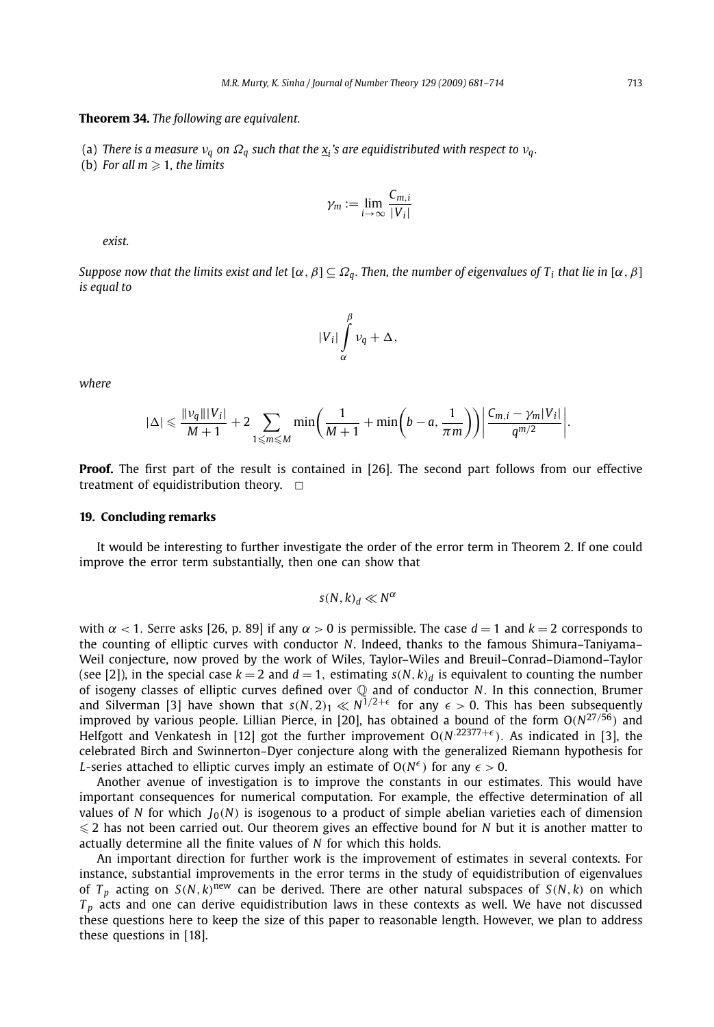#### **Theorem 34.** *The following are equivalent.*

- (a) *There is a measure*  $v_q$  *on*  $\Omega_q$  *such that the*  $x_i$ *'s are equidistributed with respect to*  $v_q$ *.*
- (b) *For all*  $m \ge 1$ *, the limits*

$$
\gamma_m := \lim_{i \to \infty} \frac{C_{m,i}}{|V_i|}
$$

*exist.*

*Suppose now that the limits exist and let* [ $\alpha$ ,  $\beta$ ]  $\subseteq \Omega_a$ . Then, the number of eigenvalues of T<sub>i</sub> that lie in [ $\alpha$ ,  $\beta$ ] *is equal to*

$$
|V_i|\int\limits_{\alpha}^{\beta}v_q+\Delta,
$$

*where*

$$
|\Delta| \leqslant \frac{\|\nu_q\| |V_i|}{M+1} + 2 \sum_{1 \leqslant m \leqslant M} \min\biggl( \frac{1}{M+1} + \min\biggl( b-a, \frac{1}{\pi m} \biggr) \biggr) \biggl| \frac{C_{m,i} - \gamma_m |V_i|}{q^{m/2}} \biggr|.
$$

**Proof.** The first part of the result is contained in [26]. The second part follows from our effective treatment of equidistribution theory.  $\Box$ 

# **19. Concluding remarks**

It would be interesting to further investigate the order of the error term in Theorem 2. If one could improve the error term substantially, then one can show that

$$
s(N,k)_d \ll N^{\alpha}
$$

with  $\alpha$  < 1. Serre asks [26, p. 89] if any  $\alpha$  > 0 is permissible. The case  $d = 1$  and  $k = 2$  corresponds to the counting of elliptic curves with conductor *N*. Indeed, thanks to the famous Shimura–Taniyama– Weil conjecture, now proved by the work of Wiles, Taylor–Wiles and Breuil–Conrad–Diamond–Taylor (see [2]), in the special case  $k = 2$  and  $d = 1$ , estimating  $s(N, k)<sub>d</sub>$  is equivalent to counting the number of isogeny classes of elliptic curves defined over Q and of conductor *N.* In this connection, Brumer and Silverman [3] have shown that  $s(N,2)_1 \ll N^{1/2+\epsilon}$  for any  $\epsilon > 0$ . This has been subsequently improved by various people. Lillian Pierce, in [20], has obtained a bound of the form  $O(N^{27/56})$  and Helfgott and Venkatesh in [12] got the further improvement  $O(N^{22377+\epsilon})$ . As indicated in [3], the celebrated Birch and Swinnerton–Dyer conjecture along with the generalized Riemann hypothesis for *L*-series attached to elliptic curves imply an estimate of  $O(N^{\epsilon})$  for any  $\epsilon > 0$ .

Another avenue of investigation is to improve the constants in our estimates. This would have important consequences for numerical computation. For example, the effective determination of all values of *N* for which  $J_0(N)$  is isogenous to a product of simple abelian varieties each of dimension  $\leqslant$  2 has not been carried out. Our theorem gives an effective bound for *N* but it is another matter to actually determine all the finite values of *N* for which this holds.

An important direction for further work is the improvement of estimates in several contexts. For instance, substantial improvements in the error terms in the study of equidistribution of eigenvalues of  $T_p$  acting on  $S(N, k)$ <sup>new</sup> can be derived. There are other natural subspaces of  $S(N, k)$  on which  $T_p$  acts and one can derive equidistribution laws in these contexts as well. We have not discussed these questions here to keep the size of this paper to reasonable length. However, we plan to address these questions in [18].